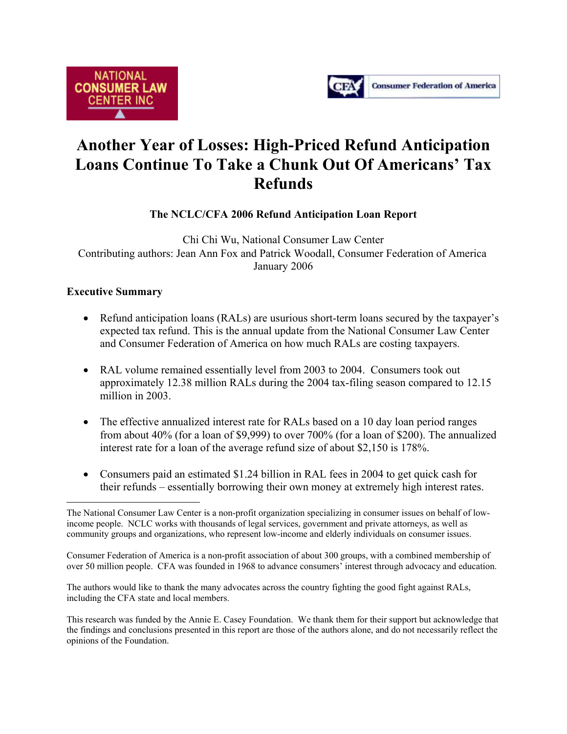



# **Another Year of Losses: High-Priced Refund Anticipation Loans Continue To Take a Chunk Out Of Americans' Tax Refunds**

**The NCLC/CFA 2006 Refund Anticipation Loan Report** 

Chi Chi Wu, National Consumer Law Center Contributing authors: Jean Ann Fox and Patrick Woodall, Consumer Federation of America January 2006

# **Executive Summary**

- Refund anticipation loans (RALs) are usurious short-term loans secured by the taxpayer's expected tax refund. This is the annual update from the National Consumer Law Center and Consumer Federation of America on how much RALs are costing taxpayers.
- RAL volume remained essentially level from 2003 to 2004. Consumers took out approximately 12.38 million RALs during the 2004 tax-filing season compared to 12.15 million in 2003.
- The effective annualized interest rate for RALs based on a 10 day loan period ranges from about 40% (for a loan of \$9,999) to over 700% (for a loan of \$200). The annualized interest rate for a loan of the average refund size of about \$2,150 is 178%.
- Consumers paid an estimated \$1.24 billion in RAL fees in 2004 to get quick cash for their refunds – essentially borrowing their own money at extremely high interest rates.

Consumer Federation of America is a non-profit association of about 300 groups, with a combined membership of over 50 million people. CFA was founded in 1968 to advance consumers' interest through advocacy and education.

The authors would like to thank the many advocates across the country fighting the good fight against RALs, including the CFA state and local members.

This research was funded by the Annie E. Casey Foundation. We thank them for their support but acknowledge that the findings and conclusions presented in this report are those of the authors alone, and do not necessarily reflect the opinions of the Foundation.

 $\overline{a}$ The National Consumer Law Center is a non-profit organization specializing in consumer issues on behalf of lowincome people. NCLC works with thousands of legal services, government and private attorneys, as well as community groups and organizations, who represent low-income and elderly individuals on consumer issues.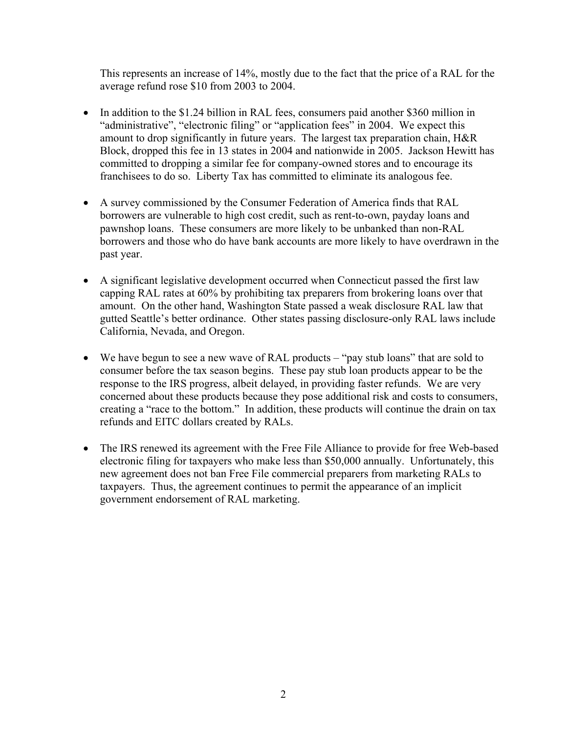This represents an increase of 14%, mostly due to the fact that the price of a RAL for the average refund rose \$10 from 2003 to 2004.

- In addition to the \$1.24 billion in RAL fees, consumers paid another \$360 million in "administrative", "electronic filing" or "application fees" in 2004. We expect this amount to drop significantly in future years. The largest tax preparation chain, H&R Block, dropped this fee in 13 states in 2004 and nationwide in 2005. Jackson Hewitt has committed to dropping a similar fee for company-owned stores and to encourage its franchisees to do so. Liberty Tax has committed to eliminate its analogous fee.
- A survey commissioned by the Consumer Federation of America finds that RAL borrowers are vulnerable to high cost credit, such as rent-to-own, payday loans and pawnshop loans. These consumers are more likely to be unbanked than non-RAL borrowers and those who do have bank accounts are more likely to have overdrawn in the past year.
- A significant legislative development occurred when Connecticut passed the first law capping RAL rates at 60% by prohibiting tax preparers from brokering loans over that amount. On the other hand, Washington State passed a weak disclosure RAL law that gutted Seattle's better ordinance. Other states passing disclosure-only RAL laws include California, Nevada, and Oregon.
- We have begun to see a new wave of RAL products "pay stub loans" that are sold to consumer before the tax season begins. These pay stub loan products appear to be the response to the IRS progress, albeit delayed, in providing faster refunds. We are very concerned about these products because they pose additional risk and costs to consumers, creating a "race to the bottom." In addition, these products will continue the drain on tax refunds and EITC dollars created by RALs.
- The IRS renewed its agreement with the Free File Alliance to provide for free Web-based electronic filing for taxpayers who make less than \$50,000 annually. Unfortunately, this new agreement does not ban Free File commercial preparers from marketing RALs to taxpayers. Thus, the agreement continues to permit the appearance of an implicit government endorsement of RAL marketing.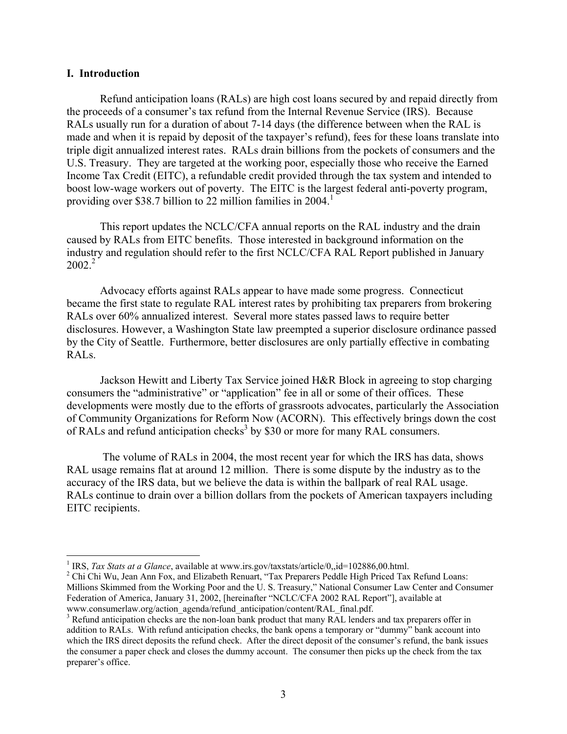#### **I. Introduction**

 $\overline{a}$ 

 Refund anticipation loans (RALs) are high cost loans secured by and repaid directly from the proceeds of a consumer's tax refund from the Internal Revenue Service (IRS). Because RALs usually run for a duration of about 7-14 days (the difference between when the RAL is made and when it is repaid by deposit of the taxpayer's refund), fees for these loans translate into triple digit annualized interest rates. RALs drain billions from the pockets of consumers and the U.S. Treasury. They are targeted at the working poor, especially those who receive the Earned Income Tax Credit (EITC), a refundable credit provided through the tax system and intended to boost low-wage workers out of poverty. The EITC is the largest federal anti-poverty program, providing over \$38.7 billion to  $\overline{22}$  million families in 2004.<sup>1</sup>

This report updates the NCLC/CFA annual reports on the RAL industry and the drain caused by RALs from EITC benefits. Those interested in background information on the industry and regulation should refer to the first NCLC/CFA RAL Report published in January  $2002.<sup>2</sup>$ 

Advocacy efforts against RALs appear to have made some progress. Connecticut became the first state to regulate RAL interest rates by prohibiting tax preparers from brokering RALs over 60% annualized interest. Several more states passed laws to require better disclosures. However, a Washington State law preempted a superior disclosure ordinance passed by the City of Seattle. Furthermore, better disclosures are only partially effective in combating RALs.

Jackson Hewitt and Liberty Tax Service joined H&R Block in agreeing to stop charging consumers the "administrative" or "application" fee in all or some of their offices. These developments were mostly due to the efforts of grassroots advocates, particularly the Association of Community Organizations for Reform Now (ACORN). This effectively brings down the cost of RALs and refund anticipation checks<sup>3</sup> by \$30 or more for many RAL consumers.

 The volume of RALs in 2004, the most recent year for which the IRS has data, shows RAL usage remains flat at around 12 million. There is some dispute by the industry as to the accuracy of the IRS data, but we believe the data is within the ballpark of real RAL usage. RALs continue to drain over a billion dollars from the pockets of American taxpayers including EITC recipients.

<sup>&</sup>lt;sup>1</sup> IRS, *Tax Stats at a Glance*, available at www.irs.gov/taxstats/article/0,,id=102886,00.html.

<sup>&</sup>lt;sup>2</sup> Chi Chi Wu, Jean Ann Fox, and Elizabeth Renuart, "Tax Preparers Peddle High Priced Tax Refund Loans: Millions Skimmed from the Working Poor and the U. S. Treasury," National Consumer Law Center and Consumer Federation of America, January 31, 2002, [hereinafter "NCLC/CFA 2002 RAL Report"], available at www.consumerlaw.org/action\_agenda/refund\_anticipation/content/RAL\_final.pdf.

<sup>&</sup>lt;sup>3</sup> Refund anticipation checks are the non-loan bank product that many RAL lenders and tax preparers offer in addition to RALs. With refund anticipation checks, the bank opens a temporary or "dummy" bank account into which the IRS direct deposits the refund check. After the direct deposit of the consumer's refund, the bank issues the consumer a paper check and closes the dummy account. The consumer then picks up the check from the tax preparer's office.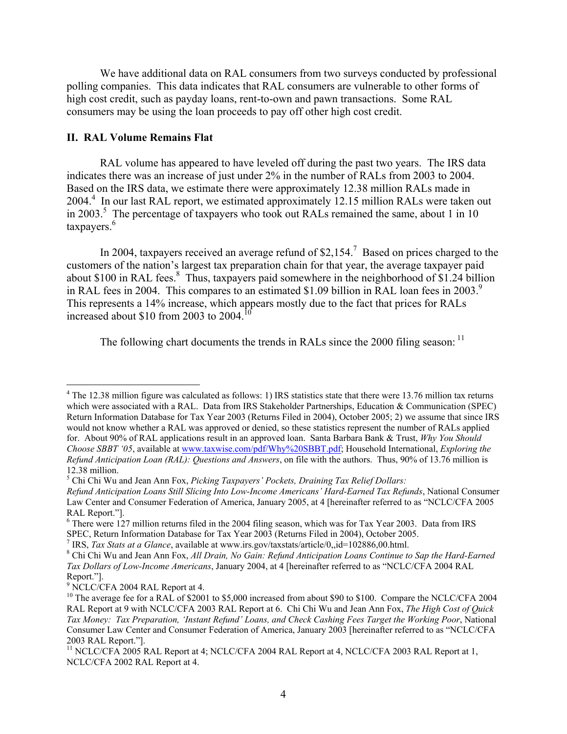We have additional data on RAL consumers from two surveys conducted by professional polling companies. This data indicates that RAL consumers are vulnerable to other forms of high cost credit, such as payday loans, rent-to-own and pawn transactions. Some RAL consumers may be using the loan proceeds to pay off other high cost credit.

# **II. RAL Volume Remains Flat**

 RAL volume has appeared to have leveled off during the past two years. The IRS data indicates there was an increase of just under 2% in the number of RALs from 2003 to 2004. Based on the IRS data, we estimate there were approximately 12.38 million RALs made in 2004.<sup>4</sup> In our last RAL report, we estimated approximately 12.15 million RALs were taken out in 2003.<sup>5</sup> The percentage of taxpayers who took out RALs remained the same, about 1 in 10 taxpayers.<sup>6</sup>

In 2004, taxpayers received an average refund of \$2,154.<sup>7</sup> Based on prices charged to the customers of the nation's largest tax preparation chain for that year, the average taxpayer paid about \$100 in RAL fees.<sup>8</sup> Thus, taxpayers paid somewhere in the neighborhood of \$1.24 billion in RAL fees in 2004. This compares to an estimated \$1.09 billion in RAL loan fees in 2003.<sup>9</sup> This represents a 14% increase, which appears mostly due to the fact that prices for RALs increased about \$10 from 2003 to 2004.<sup>10</sup>

The following chart documents the trends in RALs since the 2000 filing season:  $<sup>11</sup>$ </sup>

<sup>7</sup> IRS, *Tax Stats at a Glance*, available at www.irs.gov/taxstats/article/0,,id=102886,00.html.

<sup>&</sup>lt;sup>4</sup> The 12.38 million figure was calculated as follows: 1) IRS statistics state that there were 13.76 million tax returns which were associated with a RAL. Data from IRS Stakeholder Partnerships, Education & Communication (SPEC) Return Information Database for Tax Year 2003 (Returns Filed in 2004), October 2005; 2) we assume that since IRS would not know whether a RAL was approved or denied, so these statistics represent the number of RALs applied for. About 90% of RAL applications result in an approved loan. Santa Barbara Bank & Trust, *Why You Should Choose SBBT '05*, available at www.taxwise.com/pdf/Why%20SBBT.pdf; Household International, *Exploring the Refund Anticipation Loan (RAL): Questions and Answers*, on file with the authors. Thus, 90% of 13.76 million is 12.38 million.

<sup>5</sup> Chi Chi Wu and Jean Ann Fox, *Picking Taxpayers' Pockets, Draining Tax Relief Dollars:* 

*Refund Anticipation Loans Still Slicing Into Low-Income Americans' Hard-Earned Tax Refunds*, National Consumer Law Center and Consumer Federation of America, January 2005, at 4 [hereinafter referred to as "NCLC/CFA 2005 RAL Report."].

<sup>&</sup>lt;sup>6</sup> There were 127 million returns filed in the 2004 filing season, which was for Tax Year 2003. Data from IRS SPEC, Return Information Database for Tax Year 2003 (Returns Filed in 2004), October 2005.

Chi Chi Wu and Jean Ann Fox, *All Drain, No Gain: Refund Anticipation Loans Continue to Sap the Hard-Earned Tax Dollars of Low-Income Americans*, January 2004, at 4 [hereinafter referred to as "NCLC/CFA 2004 RAL Report."].

<sup>9</sup> NCLC/CFA 2004 RAL Report at 4.

<sup>&</sup>lt;sup>10</sup> The average fee for a RAL of \$2001 to \$5,000 increased from about \$90 to \$100. Compare the NCLC/CFA 2004 RAL Report at 9 with NCLC/CFA 2003 RAL Report at 6. Chi Chi Wu and Jean Ann Fox, *The High Cost of Quick Tax Money: Tax Preparation, 'Instant Refund' Loans, and Check Cashing Fees Target the Working Poor*, National Consumer Law Center and Consumer Federation of America, January 2003 [hereinafter referred to as "NCLC/CFA 2003 RAL Report."].

<sup>&</sup>lt;sup>11</sup> NCLC/CFA 2005 RAL Report at 4; NCLC/CFA 2004 RAL Report at 4, NCLC/CFA 2003 RAL Report at 1, NCLC/CFA 2002 RAL Report at 4.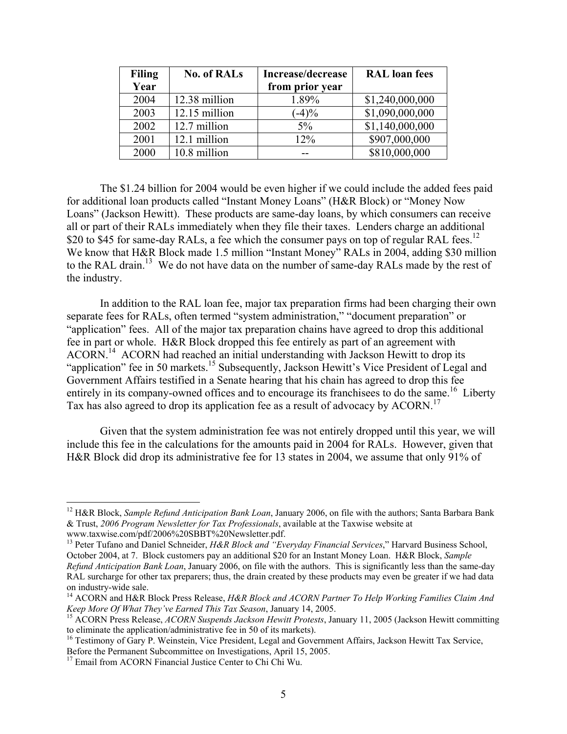| <b>Filing</b> | <b>No. of RALs</b> | Increase/decrease | <b>RAL</b> loan fees |
|---------------|--------------------|-------------------|----------------------|
| Year          |                    | from prior year   |                      |
| 2004          | 12.38 million      | 1.89%             | \$1,240,000,000      |
| 2003          | 12.15 million      | $(-4)\%$          | \$1,090,000,000      |
| 2002          | 12.7 million       | $5\%$             | \$1,140,000,000      |
| 2001          | 12.1 million       | 12%               | \$907,000,000        |
| 2000          | 10.8 million       |                   | \$810,000,000        |

The \$1.24 billion for 2004 would be even higher if we could include the added fees paid for additional loan products called "Instant Money Loans" (H&R Block) or "Money Now Loans" (Jackson Hewitt). These products are same-day loans, by which consumers can receive all or part of their RALs immediately when they file their taxes. Lenders charge an additional \$20 to \$45 for same-day RALs, a fee which the consumer pays on top of regular RAL fees.<sup>12</sup> We know that H&R Block made 1.5 million "Instant Money" RALs in 2004, adding \$30 million to the RAL drain.<sup>13</sup> We do not have data on the number of same-day RALs made by the rest of the industry.

 In addition to the RAL loan fee, major tax preparation firms had been charging their own separate fees for RALs, often termed "system administration," "document preparation" or "application" fees. All of the major tax preparation chains have agreed to drop this additional fee in part or whole. H&R Block dropped this fee entirely as part of an agreement with ACORN.14 ACORN had reached an initial understanding with Jackson Hewitt to drop its "application" fee in 50 markets.<sup>15</sup> Subsequently, Jackson Hewitt's Vice President of Legal and Government Affairs testified in a Senate hearing that his chain has agreed to drop this fee entirely in its company-owned offices and to encourage its franchisees to do the same.<sup>16</sup> Liberty Tax has also agreed to drop its application fee as a result of advocacy by ACORN.<sup>17</sup>

Given that the system administration fee was not entirely dropped until this year, we will include this fee in the calculations for the amounts paid in 2004 for RALs. However, given that H&R Block did drop its administrative fee for 13 states in 2004, we assume that only 91% of

<sup>12</sup> H&R Block, *Sample Refund Anticipation Bank Loan*, January 2006, on file with the authors; Santa Barbara Bank & Trust, *2006 Program Newsletter for Tax Professionals*, available at the Taxwise website at www.taxwise.com/pdf/2006%20SBBT%20Newsletter.pdf.

<sup>&</sup>lt;sup>13</sup> Peter Tufano and Daniel Schneider, *H&R Block and "Everyday Financial Services*," Harvard Business School, October 2004, at 7. Block customers pay an additional \$20 for an Instant Money Loan. H&R Block, *Sample Refund Anticipation Bank Loan*, January 2006, on file with the authors. This is significantly less than the same-day RAL surcharge for other tax preparers; thus, the drain created by these products may even be greater if we had data on industry-wide sale.

<sup>&</sup>lt;sup>14</sup> ACORN and H&R Block Press Release, *H&R Block and ACORN Partner To Help Working Families Claim And Keep More Of What They've Earned This Tax Season, January 14, 2005.* 

<sup>&</sup>lt;sup>15</sup> ACORN Press Release, *ACORN Suspends Jackson Hewitt Protests*, January 11, 2005 (Jackson Hewitt committing to eliminate the application/administrative fee in 50 of its markets).

 $16$  Testimony of Gary P. Weinstein, Vice President, Legal and Government Affairs, Jackson Hewitt Tax Service, Before the Permanent Subcommittee on Investigations, April 15, 2005.

<sup>&</sup>lt;sup>17</sup> Email from ACORN Financial Justice Center to Chi Chi Wu.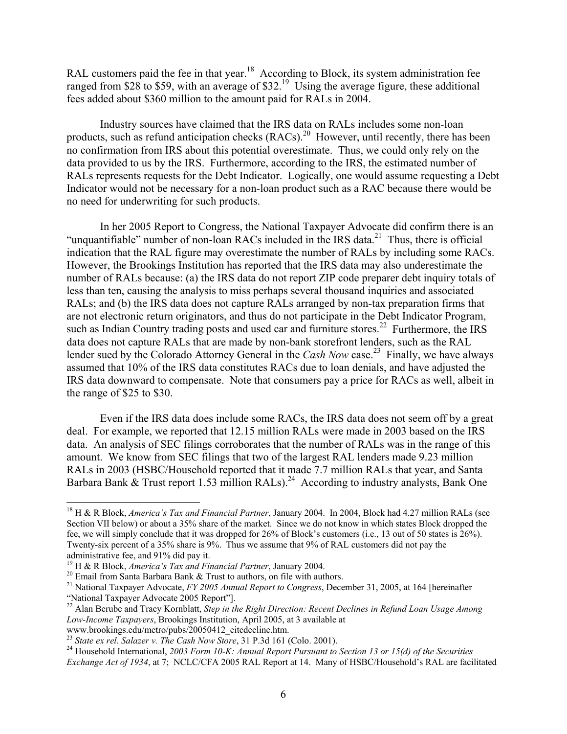RAL customers paid the fee in that year.<sup>18</sup> According to Block, its system administration fee ranged from \$28 to \$59, with an average of \$32.<sup>19</sup> Using the average figure, these additional fees added about \$360 million to the amount paid for RALs in 2004.

Industry sources have claimed that the IRS data on RALs includes some non-loan products, such as refund anticipation checks (RACs).<sup>20</sup> However, until recently, there has been no confirmation from IRS about this potential overestimate. Thus, we could only rely on the data provided to us by the IRS. Furthermore, according to the IRS, the estimated number of RALs represents requests for the Debt Indicator. Logically, one would assume requesting a Debt Indicator would not be necessary for a non-loan product such as a RAC because there would be no need for underwriting for such products.

In her 2005 Report to Congress, the National Taxpayer Advocate did confirm there is an "unquantifiable" number of non-loan RACs included in the IRS data.<sup>21</sup> Thus, there is official indication that the RAL figure may overestimate the number of RALs by including some RACs. However, the Brookings Institution has reported that the IRS data may also underestimate the number of RALs because: (a) the IRS data do not report ZIP code preparer debt inquiry totals of less than ten, causing the analysis to miss perhaps several thousand inquiries and associated RALs; and (b) the IRS data does not capture RALs arranged by non-tax preparation firms that are not electronic return originators, and thus do not participate in the Debt Indicator Program, such as Indian Country trading posts and used car and furniture stores.<sup>22</sup> Furthermore, the IRS data does not capture RALs that are made by non-bank storefront lenders, such as the RAL lender sued by the Colorado Attorney General in the *Cash Now* case.<sup>23</sup> Finally, we have always assumed that 10% of the IRS data constitutes RACs due to loan denials, and have adjusted the IRS data downward to compensate. Note that consumers pay a price for RACs as well, albeit in the range of \$25 to \$30.

Even if the IRS data does include some RACs, the IRS data does not seem off by a great deal. For example, we reported that 12.15 million RALs were made in 2003 based on the IRS data. An analysis of SEC filings corroborates that the number of RALs was in the range of this amount. We know from SEC filings that two of the largest RAL lenders made 9.23 million RALs in 2003 (HSBC/Household reported that it made 7.7 million RALs that year, and Santa Barbara Bank  $\&$  Trust report 1.53 million RALs).<sup>24</sup> According to industry analysts, Bank One

www.brookings.edu/metro/pubs/20050412\_eitcdecline.htm.<br><sup>23</sup> State ex rel. Salazer v. The Cash Now Store, 31 P.3d 161 (Colo. 2001).

<sup>18</sup> H & R Block, *America's Tax and Financial Partner*, January 2004. In 2004, Block had 4.27 million RALs (see Section VII below) or about a 35% share of the market. Since we do not know in which states Block dropped the fee, we will simply conclude that it was dropped for 26% of Block's customers (i.e., 13 out of 50 states is 26%). Twenty-six percent of a 35% share is 9%. Thus we assume that 9% of RAL customers did not pay the

administrative fee, and 91% did pay it.<br><sup>19</sup> H & R Block, *America's Tax and Financial Partner*, January 2004.

<sup>&</sup>lt;sup>20</sup> Email from Santa Barbara Bank & Trust to authors, on file with authors.<br><sup>21</sup> National Taxpayer Advocate, *FY 2005 Annual Report to Congress*, December 31, 2005, at 164 [hereinafter "National Taxpayer Advocate 2005 Re

<sup>&</sup>lt;sup>22</sup> Alan Berube and Tracy Kornblatt, *Step in the Right Direction: Recent Declines in Refund Loan Usage Among Low-Income Taxpayers*, Brookings Institution, April 2005, at 3 available at

<sup>&</sup>lt;sup>24</sup> Household International, 2003 Form 10-K: Annual Report Pursuant to Section 13 or 15(d) of the Securities *Exchange Act of 1934*, at 7; NCLC/CFA 2005 RAL Report at 14. Many of HSBC/Household's RAL are facilitated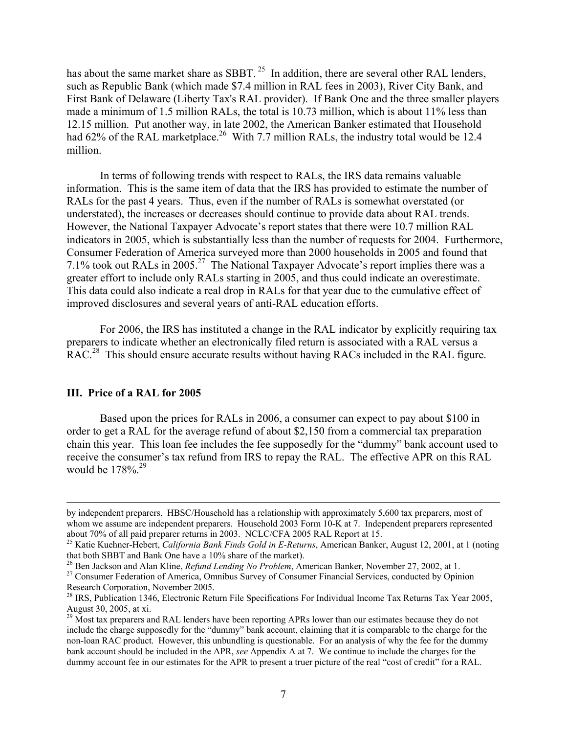has about the same market share as SBBT.<sup>25</sup> In addition, there are several other RAL lenders, such as Republic Bank (which made \$7.4 million in RAL fees in 2003), River City Bank, and First Bank of Delaware (Liberty Tax's RAL provider). If Bank One and the three smaller players made a minimum of 1.5 million RALs, the total is 10.73 million, which is about 11% less than 12.15 million. Put another way, in late 2002, the American Banker estimated that Household had 62% of the RAL marketplace.<sup>26</sup> With 7.7 million RALs, the industry total would be 12.4 million.

In terms of following trends with respect to RALs, the IRS data remains valuable information. This is the same item of data that the IRS has provided to estimate the number of RALs for the past 4 years. Thus, even if the number of RALs is somewhat overstated (or understated), the increases or decreases should continue to provide data about RAL trends. However, the National Taxpayer Advocate's report states that there were 10.7 million RAL indicators in 2005, which is substantially less than the number of requests for 2004. Furthermore, Consumer Federation of America surveyed more than 2000 households in 2005 and found that 7.1% took out RALs in 2005.27 The National Taxpayer Advocate's report implies there was a greater effort to include only RALs starting in 2005, and thus could indicate an overestimate. This data could also indicate a real drop in RALs for that year due to the cumulative effect of improved disclosures and several years of anti-RAL education efforts.

For 2006, the IRS has instituted a change in the RAL indicator by explicitly requiring tax preparers to indicate whether an electronically filed return is associated with a RAL versus a RAC.<sup>28</sup> This should ensure accurate results without having RACs included in the RAL figure.

#### **III. Price of a RAL for 2005**

Based upon the prices for RALs in 2006, a consumer can expect to pay about \$100 in order to get a RAL for the average refund of about \$2,150 from a commercial tax preparation chain this year. This loan fee includes the fee supposedly for the "dummy" bank account used to receive the consumer's tax refund from IRS to repay the RAL. The effective APR on this RAL would be  $178\%$ <sup>29</sup>

by independent preparers. HBSC/Household has a relationship with approximately 5,600 tax preparers, most of whom we assume are independent preparers. Household 2003 Form 10-K at 7. Independent preparers represented about 70% of all paid preparer returns in 2003. NCLC/CFA 2005 RAL Report at 15.

<sup>&</sup>lt;sup>25</sup> Katie Kuehner-Hebert, *California Bank Finds Gold in E-Returns*, American Banker, August 12, 2001, at 1 (noting that both SBBT and Bank One have a 10% share of the market).

<sup>&</sup>lt;sup>26</sup> Ben Jackson and Alan Kline, *Refund Lending No Problem*, American Banker, November 27, 2002, at 1.<br><sup>27</sup> Consumer Federation of America, Omnibus Survey of Consumer Financial Services, conducted by Opinion Research Corporation, November 2005.

<sup>&</sup>lt;sup>28</sup> IRS, Publication 1346, Electronic Return File Specifications For Individual Income Tax Returns Tax Year 2005, August 30, 2005, at xi.

<sup>&</sup>lt;sup>29</sup> Most tax preparers and RAL lenders have been reporting APRs lower than our estimates because they do not include the charge supposedly for the "dummy" bank account, claiming that it is comparable to the charge for the non-loan RAC product. However, this unbundling is questionable. For an analysis of why the fee for the dummy bank account should be included in the APR, *see* Appendix A at 7. We continue to include the charges for the dummy account fee in our estimates for the APR to present a truer picture of the real "cost of credit" for a RAL.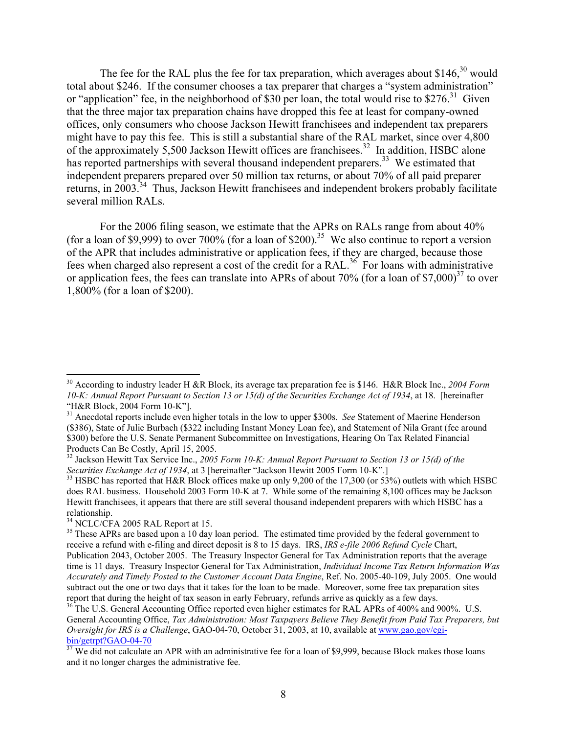The fee for the RAL plus the fee for tax preparation, which averages about  $$146<sup>30</sup>$  would total about \$246. If the consumer chooses a tax preparer that charges a "system administration" or "application" fee, in the neighborhood of \$30 per loan, the total would rise to  $$276$ <sup>31</sup> Given that the three major tax preparation chains have dropped this fee at least for company-owned offices, only consumers who choose Jackson Hewitt franchisees and independent tax preparers might have to pay this fee. This is still a substantial share of the RAL market, since over 4,800 of the approximately 5,500 Jackson Hewitt offices are franchisees.<sup>32</sup> In addition, HSBC alone has reported partnerships with several thousand independent preparers.<sup>33</sup> We estimated that independent preparers prepared over 50 million tax returns, or about 70% of all paid preparer returns, in 2003.<sup>34</sup> Thus, Jackson Hewitt franchisees and independent brokers probably facilitate several million RALs.

For the 2006 filing season, we estimate that the APRs on RALs range from about 40% (for a loan of \$9,999) to over 700% (for a loan of \$200).<sup>35</sup> We also continue to report a version of the APR that includes administrative or application fees, if they are charged, because those fees when charged also represent a cost of the credit for a RAL.<sup>36</sup> For loans with administrative or application fees, the fees can translate into APRs of about 70% (for a loan of \$7,000)<sup>37</sup> to over 1,800% (for a loan of \$200).

1

<sup>30</sup> According to industry leader H &R Block, its average tax preparation fee is \$146. H&R Block Inc., *2004 Form 10-K: Annual Report Pursuant to Section 13 or 15(d) of the Securities Exchange Act of 1934*, at 18. [hereinafter "H&R Block, 2004 Form 10-K"].

<sup>&</sup>lt;sup>31</sup> Anecdotal reports include even higher totals in the low to upper \$300s. *See* Statement of Maerine Henderson (\$386), State of Julie Burbach (\$322 including Instant Money Loan fee), and Statement of Nila Grant (fee around \$300) before the U.S. Senate Permanent Subcommittee on Investigations, Hearing On Tax Related Financial Products Can Be Costly, April 15, 2005.

<sup>&</sup>lt;sup>32</sup> Jackson Hewitt Tax Service Inc., *2005 Form 10-K: Annual Report Pursuant to Section 13 or 15(d) of the Securities Exchange Act of 1934, at 3 [hereinafter "Jackson Hewitt 2005 Form 10-K".]* 

<sup>&</sup>lt;sup>33</sup> HSBC has reported that H&R Block offices make up only 9,200 of the 17,300 (or 53%) outlets with which HSBC does RAL business. Household 2003 Form 10-K at 7. While some of the remaining 8,100 offices may be Jackson Hewitt franchisees, it appears that there are still several thousand independent preparers with which HSBC has a relationship.

<sup>&</sup>lt;sup>34</sup> NCLC/CFA 2005 RAL Report at 15.

<sup>&</sup>lt;sup>35</sup> These APRs are based upon a 10 day loan period. The estimated time provided by the federal government to receive a refund with e-filing and direct deposit is 8 to 15 days. IRS, *IRS e-file 2006 Refund Cycle* Chart, Publication 2043, October 2005. The Treasury Inspector General for Tax Administration reports that the average time is 11 days. Treasury Inspector General for Tax Administration, *Individual Income Tax Return Information Was Accurately and Timely Posted to the Customer Account Data Engine*, Ref. No. 2005-40-109, July 2005. One would subtract out the one or two days that it takes for the loan to be made. Moreover, some free tax preparation sites report that during the height of tax season in early February, refunds arrive as quickly as a few days.

<sup>&</sup>lt;sup>36</sup> The U.S. General Accounting Office reported even higher estimates for RAL APRs of 400% and 900%. U.S. General Accounting Office, *Tax Administration: Most Taxpayers Believe They Benefit from Paid Tax Preparers, but Oversight for IRS is a Challenge*, GAO-04-70, October 31, 2003, at 10, available at www.gao.gov/cgibin/getrpt?GAO-04-70

 $\frac{37}{37}$  We did not calculate an APR with an administrative fee for a loan of \$9,999, because Block makes those loans and it no longer charges the administrative fee.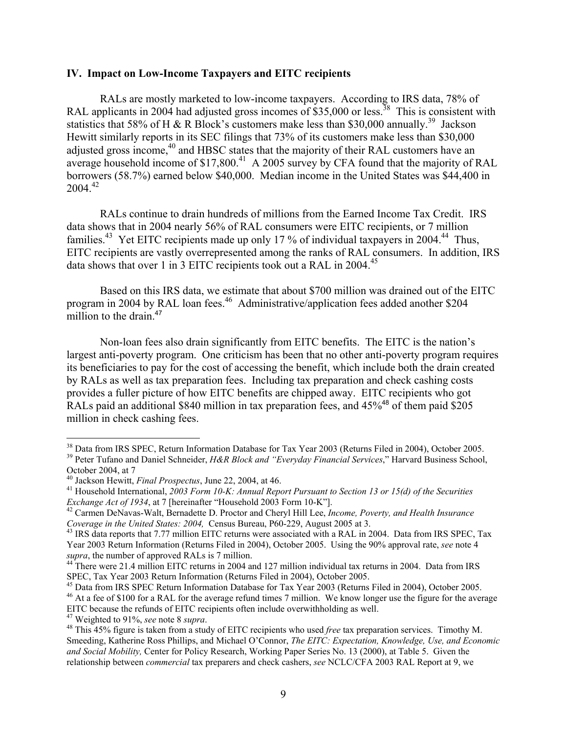#### **IV. Impact on Low-Income Taxpayers and EITC recipients**

RALs are mostly marketed to low-income taxpayers. According to IRS data, 78% of RAL applicants in 2004 had adjusted gross incomes of \$35,000 or less.<sup>38</sup> This is consistent with statistics that 58% of H & R Block's customers make less than \$30,000 annually.<sup>39</sup> Jackson Hewitt similarly reports in its SEC filings that 73% of its customers make less than \$30,000 adjusted gross income,<sup>40</sup> and HBSC states that the majority of their RAL customers have an average household income of  $$17,800<sup>41</sup>$  A 2005 survey by CFA found that the majority of RAL borrowers (58.7%) earned below \$40,000. Median income in the United States was \$44,400 in  $2004^{42}$ 

 RALs continue to drain hundreds of millions from the Earned Income Tax Credit. IRS data shows that in 2004 nearly 56% of RAL consumers were EITC recipients, or 7 million families.<sup>43</sup> Yet EITC recipients made up only 17 % of individual taxpayers in 2004.<sup>44</sup> Thus, EITC recipients are vastly overrepresented among the ranks of RAL consumers. In addition, IRS data shows that over 1 in 3 EITC recipients took out a RAL in 2004.<sup>45</sup>

 Based on this IRS data, we estimate that about \$700 million was drained out of the EITC program in 2004 by RAL loan fees.<sup>46</sup> Administrative/application fees added another \$204 million to the drain.<sup>47</sup>

 Non-loan fees also drain significantly from EITC benefits. The EITC is the nation's largest anti-poverty program. One criticism has been that no other anti-poverty program requires its beneficiaries to pay for the cost of accessing the benefit, which include both the drain created by RALs as well as tax preparation fees. Including tax preparation and check cashing costs provides a fuller picture of how EITC benefits are chipped away. EITC recipients who got RALs paid an additional \$840 million in tax preparation fees, and  $45\%$ <sup>48</sup> of them paid \$205 million in check cashing fees.

1

<sup>&</sup>lt;sup>38</sup> Data from IRS SPEC, Return Information Database for Tax Year 2003 (Returns Filed in 2004), October 2005. 39 Peter Tufano and Daniel Schneider, *H&R Block and "Everyday Financial Services*," Harvard Business School,

October 2004, at 7<br><sup>40</sup> Jackson Hewitt, *Final Prospectus*, June 22, 2004, at 46.

<sup>&</sup>lt;sup>41</sup> Household International, *2003 Form 10-K: Annual Report Pursuant to Section 13 or 15(d) of the Securities Exchange Act of 1934*, at 7 [hereinafter "Household 2003 Form 10-K"].<br><sup>42</sup> Carmen DeNavas-Walt, Bernadette D. Proctor and Cheryl Hill Lee, *Income, Poverty, and Health Insurance* 

*Coverage in the United States: 2004,* Census Bureau, P60-229, August 2005 at 3. 43 IRS data reports that 7.77 million EITC returns were associated with a RAL in 2004. Data from IRS SPEC, Tax

Year 2003 Return Information (Returns Filed in 2004), October 2005. Using the 90% approval rate, *see* note 4 *supra*, the number of approved RALs is 7 million.<br><sup>44</sup> There were 21.4 million EITC returns in 2004 and 127 million individual tax returns in 2004. Data from IRS

SPEC, Tax Year 2003 Return Information (Returns Filed in 2004), October 2005.

<sup>&</sup>lt;sup>45</sup> Data from IRS SPEC Return Information Database for Tax Year 2003 (Returns Filed in 2004), October 2005.

<sup>&</sup>lt;sup>46</sup> At a fee of \$100 for a RAL for the average refund times 7 million. We know longer use the figure for the average EITC because the refunds of EITC recipients often include overwithholding as well.<br><sup>47</sup> Weighted to 91%, *see* note 8 *supra*.<br><sup>48</sup> This 45% figure is taken from a study of EITC recipients who used *free* tax preparation

Smeeding, Katherine Ross Phillips, and Michael O'Connor, *The EITC: Expectation, Knowledge, Use, and Economic and Social Mobility,* Center for Policy Research, Working Paper Series No. 13 (2000), at Table 5. Given the relationship between *commercial* tax preparers and check cashers, *see* NCLC/CFA 2003 RAL Report at 9, we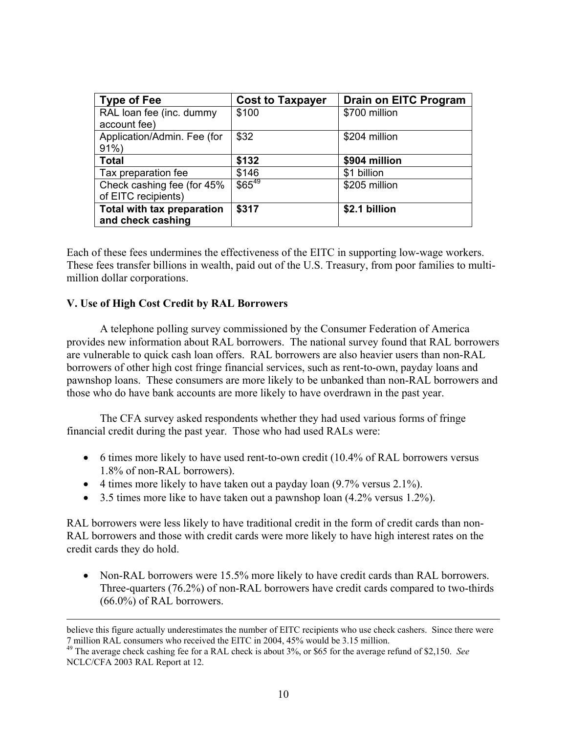| <b>Type of Fee</b>          | <b>Cost to Taxpayer</b> | <b>Drain on EITC Program</b> |
|-----------------------------|-------------------------|------------------------------|
| RAL loan fee (inc. dummy    | \$100                   | \$700 million                |
| account fee)                |                         |                              |
| Application/Admin. Fee (for | \$32                    | \$204 million                |
| $91\%$                      |                         |                              |
| <b>Total</b>                | \$132                   | \$904 million                |
| Tax preparation fee         | \$146                   | \$1 billion                  |
| Check cashing fee (for 45%  | $$65^{49}$              | \$205 million                |
| of EITC recipients)         |                         |                              |
| Total with tax preparation  | \$317                   | \$2.1 billion                |
| and check cashing           |                         |                              |

Each of these fees undermines the effectiveness of the EITC in supporting low-wage workers. These fees transfer billions in wealth, paid out of the U.S. Treasury, from poor families to multimillion dollar corporations.

# **V. Use of High Cost Credit by RAL Borrowers**

 A telephone polling survey commissioned by the Consumer Federation of America provides new information about RAL borrowers. The national survey found that RAL borrowers are vulnerable to quick cash loan offers. RAL borrowers are also heavier users than non-RAL borrowers of other high cost fringe financial services, such as rent-to-own, payday loans and pawnshop loans. These consumers are more likely to be unbanked than non-RAL borrowers and those who do have bank accounts are more likely to have overdrawn in the past year.

 The CFA survey asked respondents whether they had used various forms of fringe financial credit during the past year. Those who had used RALs were:

- 6 times more likely to have used rent-to-own credit (10.4% of RAL borrowers versus 1.8% of non-RAL borrowers).
- 4 times more likely to have taken out a payday loan  $(9.7\% \text{ versus } 2.1\%)$ .
- 3.5 times more like to have taken out a pawnshop loan  $(4.2\% \text{ versus } 1.2\%)$ .

RAL borrowers were less likely to have traditional credit in the form of credit cards than non-RAL borrowers and those with credit cards were more likely to have high interest rates on the credit cards they do hold.

• Non-RAL borrowers were 15.5% more likely to have credit cards than RAL borrowers. Three-quarters (76.2%) of non-RAL borrowers have credit cards compared to two-thirds (66.0%) of RAL borrowers.

believe this figure actually underestimates the number of EITC recipients who use check cashers. Since there were 7 million RAL consumers who received the EITC in 2004, 45% would be 3.15 million. 49 The average check cashing fee for a RAL check is about 3%, or \$65 for the average refund of \$2,150. *See*

NCLC/CFA 2003 RAL Report at 12.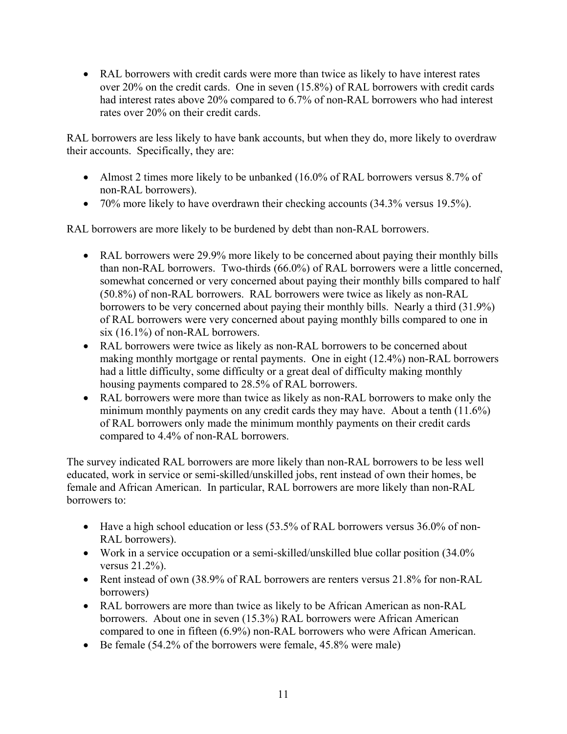• RAL borrowers with credit cards were more than twice as likely to have interest rates over 20% on the credit cards. One in seven (15.8%) of RAL borrowers with credit cards had interest rates above 20% compared to 6.7% of non-RAL borrowers who had interest rates over 20% on their credit cards.

RAL borrowers are less likely to have bank accounts, but when they do, more likely to overdraw their accounts. Specifically, they are:

- Almost 2 times more likely to be unbanked (16.0% of RAL borrowers versus 8.7% of non-RAL borrowers).
- 70% more likely to have overdrawn their checking accounts (34.3% versus 19.5%).

RAL borrowers are more likely to be burdened by debt than non-RAL borrowers.

- RAL borrowers were 29.9% more likely to be concerned about paying their monthly bills than non-RAL borrowers. Two-thirds (66.0%) of RAL borrowers were a little concerned, somewhat concerned or very concerned about paying their monthly bills compared to half (50.8%) of non-RAL borrowers. RAL borrowers were twice as likely as non-RAL borrowers to be very concerned about paying their monthly bills. Nearly a third (31.9%) of RAL borrowers were very concerned about paying monthly bills compared to one in six (16.1%) of non-RAL borrowers.
- RAL borrowers were twice as likely as non-RAL borrowers to be concerned about making monthly mortgage or rental payments. One in eight (12.4%) non-RAL borrowers had a little difficulty, some difficulty or a great deal of difficulty making monthly housing payments compared to 28.5% of RAL borrowers.
- RAL borrowers were more than twice as likely as non-RAL borrowers to make only the minimum monthly payments on any credit cards they may have. About a tenth (11.6%) of RAL borrowers only made the minimum monthly payments on their credit cards compared to 4.4% of non-RAL borrowers.

The survey indicated RAL borrowers are more likely than non-RAL borrowers to be less well educated, work in service or semi-skilled/unskilled jobs, rent instead of own their homes, be female and African American. In particular, RAL borrowers are more likely than non-RAL borrowers to:

- Have a high school education or less (53.5% of RAL borrowers versus 36.0% of non-RAL borrowers).
- Work in a service occupation or a semi-skilled/unskilled blue collar position (34.0%) versus 21.2%).
- Rent instead of own (38.9% of RAL borrowers are renters versus 21.8% for non-RAL borrowers)
- RAL borrowers are more than twice as likely to be African American as non-RAL borrowers. About one in seven (15.3%) RAL borrowers were African American compared to one in fifteen (6.9%) non-RAL borrowers who were African American.
- Be female  $(54.2\% \text{ of the borrows were female}, 45.8\% \text{ were male})$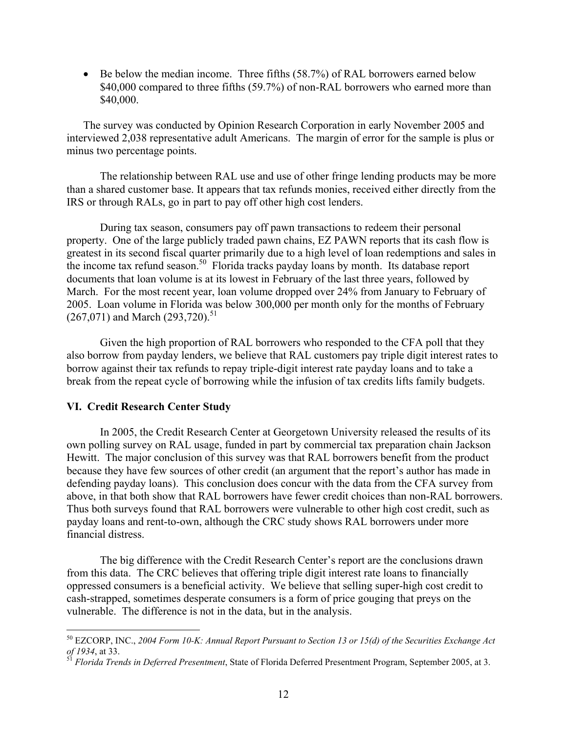• Be below the median income. Three fifths (58.7%) of RAL borrowers earned below \$40,000 compared to three fifths (59.7%) of non-RAL borrowers who earned more than \$40,000.

The survey was conducted by Opinion Research Corporation in early November 2005 and interviewed 2,038 representative adult Americans. The margin of error for the sample is plus or minus two percentage points.

The relationship between RAL use and use of other fringe lending products may be more than a shared customer base. It appears that tax refunds monies, received either directly from the IRS or through RALs, go in part to pay off other high cost lenders.

During tax season, consumers pay off pawn transactions to redeem their personal property. One of the large publicly traded pawn chains, EZ PAWN reports that its cash flow is greatest in its second fiscal quarter primarily due to a high level of loan redemptions and sales in the income tax refund season.<sup>50</sup> Florida tracks payday loans by month. Its database report documents that loan volume is at its lowest in February of the last three years, followed by March. For the most recent year, loan volume dropped over 24% from January to February of 2005. Loan volume in Florida was below 300,000 per month only for the months of February  $(267,071)$  and March  $(293,720)$ .<sup>51</sup>

Given the high proportion of RAL borrowers who responded to the CFA poll that they also borrow from payday lenders, we believe that RAL customers pay triple digit interest rates to borrow against their tax refunds to repay triple-digit interest rate payday loans and to take a break from the repeat cycle of borrowing while the infusion of tax credits lifts family budgets.

#### **VI. Credit Research Center Study**

 $\overline{a}$ 

 In 2005, the Credit Research Center at Georgetown University released the results of its own polling survey on RAL usage, funded in part by commercial tax preparation chain Jackson Hewitt. The major conclusion of this survey was that RAL borrowers benefit from the product because they have few sources of other credit (an argument that the report's author has made in defending payday loans). This conclusion does concur with the data from the CFA survey from above, in that both show that RAL borrowers have fewer credit choices than non-RAL borrowers. Thus both surveys found that RAL borrowers were vulnerable to other high cost credit, such as payday loans and rent-to-own, although the CRC study shows RAL borrowers under more financial distress.

 The big difference with the Credit Research Center's report are the conclusions drawn from this data. The CRC believes that offering triple digit interest rate loans to financially oppressed consumers is a beneficial activity. We believe that selling super-high cost credit to cash-strapped, sometimes desperate consumers is a form of price gouging that preys on the vulnerable. The difference is not in the data, but in the analysis.

<sup>&</sup>lt;sup>50</sup> EZCORP, INC., 2004 Form 10-K: Annual Report Pursuant to Section 13 or 15(d) of the Securities Exchange Act of 1934, at 33.

*Florida Trends in Deferred Presentment*, State of Florida Deferred Presentment Program, September 2005, at 3.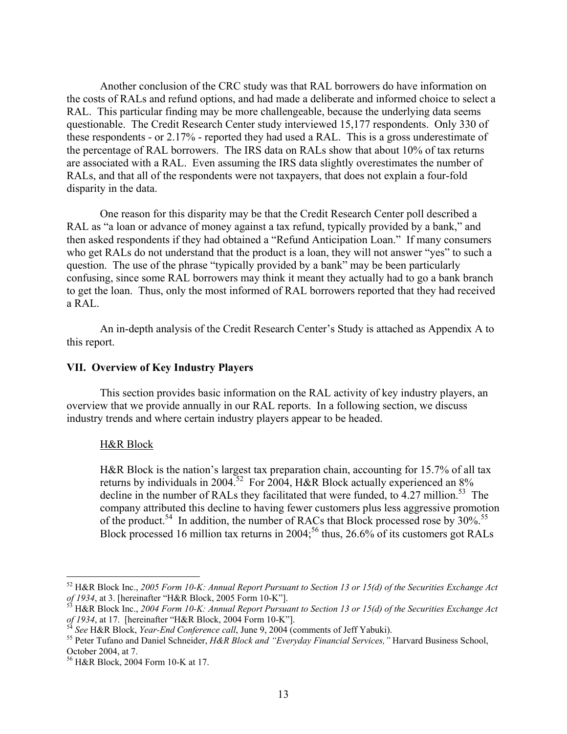Another conclusion of the CRC study was that RAL borrowers do have information on the costs of RALs and refund options, and had made a deliberate and informed choice to select a RAL. This particular finding may be more challengeable, because the underlying data seems questionable. The Credit Research Center study interviewed 15,177 respondents. Only 330 of these respondents - or 2.17% - reported they had used a RAL. This is a gross underestimate of the percentage of RAL borrowers. The IRS data on RALs show that about 10% of tax returns are associated with a RAL. Even assuming the IRS data slightly overestimates the number of RALs, and that all of the respondents were not taxpayers, that does not explain a four-fold disparity in the data.

 One reason for this disparity may be that the Credit Research Center poll described a RAL as "a loan or advance of money against a tax refund, typically provided by a bank," and then asked respondents if they had obtained a "Refund Anticipation Loan." If many consumers who get RALs do not understand that the product is a loan, they will not answer "yes" to such a question. The use of the phrase "typically provided by a bank" may be been particularly confusing, since some RAL borrowers may think it meant they actually had to go a bank branch to get the loan. Thus, only the most informed of RAL borrowers reported that they had received a RAL.

 An in-depth analysis of the Credit Research Center's Study is attached as Appendix A to this report.

### **VII. Overview of Key Industry Players**

 This section provides basic information on the RAL activity of key industry players, an overview that we provide annually in our RAL reports. In a following section, we discuss industry trends and where certain industry players appear to be headed.

#### H&R Block

 $\overline{a}$ 

H&R Block is the nation's largest tax preparation chain, accounting for 15.7% of all tax returns by individuals in 2004.<sup>52</sup> For 2004, H&R Block actually experienced an  $8\%$ decline in the number of RALs they facilitated that were funded, to  $4.27$  million.<sup>53</sup> The company attributed this decline to having fewer customers plus less aggressive promotion of the product.<sup>54</sup> In addition, the number of RACs that Block processed rose by  $30\%$ .<sup>55</sup> Block processed 16 million tax returns in 2004;<sup>56</sup> thus, 26.6% of its customers got RALs

<sup>&</sup>lt;sup>52</sup> H&R Block Inc., *2005 Form 10-K: Annual Report Pursuant to Section 13 or 15(d) of the Securities Exchange Act of 1934, at 3. [hereinafter "H&R Block, 2005 Form 10-K"].* 

H&R Block Inc., 2004 Form 10-K: Annual Report Pursuant to Section 13 or 15(d) of the Securities Exchange Act of 1934, at 17. [hereinafter "H&R Block, 2004 Form 10-K"].<br><sup>54</sup> See H&R Block, *Year-End Conference call*, June 9, 2004 (comments of Jeff Yabuki).<br><sup>55</sup> Peter Tufano and Daniel Schneider, *H&R Block and "Everyday Financial* 

October 2004, at 7.

<sup>56</sup> H&R Block, 2004 Form 10-K at 17.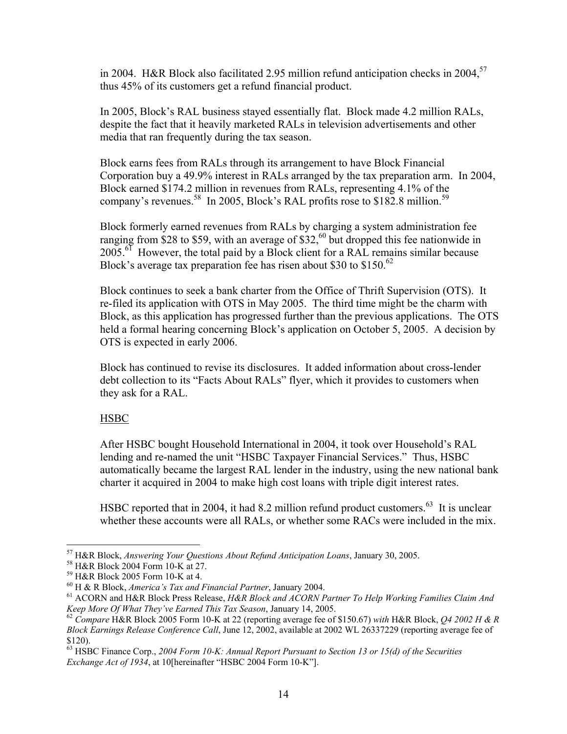in 2004. H&R Block also facilitated 2.95 million refund anticipation checks in 2004,<sup>57</sup> thus 45% of its customers get a refund financial product.

In 2005, Block's RAL business stayed essentially flat. Block made 4.2 million RALs, despite the fact that it heavily marketed RALs in television advertisements and other media that ran frequently during the tax season.

Block earns fees from RALs through its arrangement to have Block Financial Corporation buy a 49.9% interest in RALs arranged by the tax preparation arm. In 2004, Block earned \$174.2 million in revenues from RALs, representing 4.1% of the company's revenues.<sup>58</sup> In 2005, Block's RAL profits rose to \$182.8 million.<sup>59</sup>

Block formerly earned revenues from RALs by charging a system administration fee ranging from \$28 to \$59, with an average of  $$32$ ,<sup>60</sup> but dropped this fee nationwide in  $2005.<sup>61</sup>$  However, the total paid by a Block client for a RAL remains similar because Block's average tax preparation fee has risen about \$30 to \$150.<sup>62</sup>

Block continues to seek a bank charter from the Office of Thrift Supervision (OTS). It re-filed its application with OTS in May 2005. The third time might be the charm with Block, as this application has progressed further than the previous applications. The OTS held a formal hearing concerning Block's application on October 5, 2005. A decision by OTS is expected in early 2006.

Block has continued to revise its disclosures. It added information about cross-lender debt collection to its "Facts About RALs" flyer, which it provides to customers when they ask for a RAL.

# **HSBC**

 $\overline{a}$ 

After HSBC bought Household International in 2004, it took over Household's RAL lending and re-named the unit "HSBC Taxpayer Financial Services." Thus, HSBC automatically became the largest RAL lender in the industry, using the new national bank charter it acquired in 2004 to make high cost loans with triple digit interest rates.

HSBC reported that in 2004, it had 8.2 million refund product customers.<sup>63</sup> It is unclear whether these accounts were all RALs, or whether some RACs were included in the mix.

<sup>57</sup> H&R Block, *Answering Your Questions About Refund Anticipation Loans*, January 30, 2005. 58 H&R Block 2004 Form 10-K at 27.

<sup>&</sup>lt;sup>59</sup> H&R Block 2005 Form 10-K at 4.<br><sup>60</sup> H & R Block, *America's Tax and Financial Partner*, January 2004.

<sup>&</sup>lt;sup>61</sup> ACORN and H&R Block Press Release, *H&R Block and ACORN Partner To Help Working Families Claim And Keep More Of What They've Earned This Tax Season, January 14, 2005.* 

*Keep More Of What They've Earned This Tax Season*, January 14, 2005. 62 *Compare* H&R Block 2005 Form 10-K at 22 (reporting average fee of \$150.67) *with* H&R Block, *Q4 2002 H & R Block Earnings Release Conference Call*, June 12, 2002, available at 2002 WL 26337229 (reporting average fee of \$120).

<sup>63</sup> HSBC Finance Corp., *2004 Form 10-K: Annual Report Pursuant to Section 13 or 15(d) of the Securities Exchange Act of 1934*, at 10[hereinafter "HSBC 2004 Form 10-K"].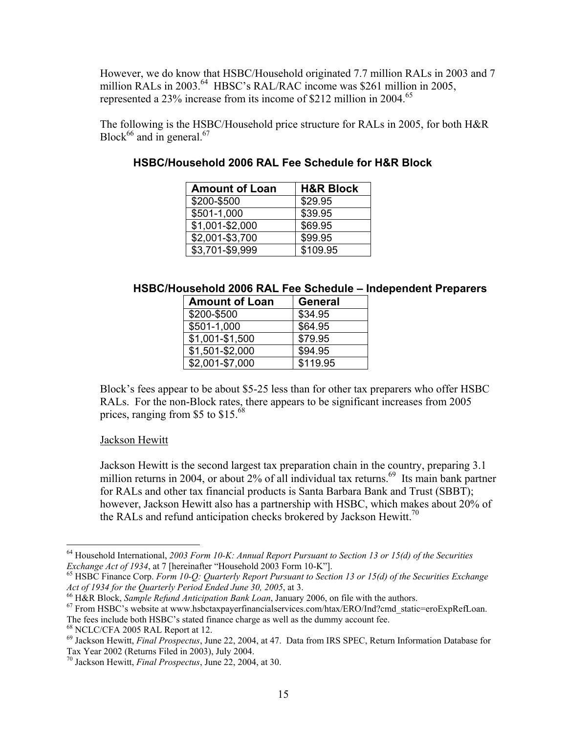However, we do know that HSBC/Household originated 7.7 million RALs in 2003 and 7 million RALs in 2003.<sup>64</sup> HBSC's RAL/RAC income was \$261 million in 2005, represented a 23% increase from its income of \$212 million in 2004.<sup>65</sup>

The following is the HSBC/Household price structure for RALs in 2005, for both H&R Block<sup>66</sup> and in general.<sup>67</sup>

| <b>Amount of Loan</b> | <b>H&amp;R Block</b> |
|-----------------------|----------------------|
| \$200-\$500           | \$29.95              |
| \$501-1,000           | \$39.95              |
| \$1,001-\$2,000       | \$69.95              |
| \$2,001-\$3,700       | \$99.95              |
| \$3,701-\$9,999       | \$109.95             |

# **HSBC/Household 2006 RAL Fee Schedule for H&R Block**

# **HSBC/Household 2006 RAL Fee Schedule – Independent Preparers**

| <b>Amount of Loan</b> | <b>General</b> |
|-----------------------|----------------|
| \$200-\$500           | \$34.95        |
| \$501-1,000           | \$64.95        |
| \$1,001-\$1,500       | \$79.95        |
| \$1,501-\$2,000       | \$94.95        |
| \$2,001-\$7,000       | \$119.95       |
|                       |                |

Block's fees appear to be about \$5-25 less than for other tax preparers who offer HSBC RALs. For the non-Block rates, there appears to be significant increases from 2005 prices, ranging from \$5 to \$15.68

# Jackson Hewitt

1

Jackson Hewitt is the second largest tax preparation chain in the country, preparing 3.1 million returns in 2004, or about  $2\%$  of all individual tax returns.<sup>69</sup> Its main bank partner for RALs and other tax financial products is Santa Barbara Bank and Trust (SBBT); however, Jackson Hewitt also has a partnership with HSBC, which makes about 20% of the RALs and refund anticipation checks brokered by Jackson Hewitt.<sup>70</sup>

<sup>&</sup>lt;sup>64</sup> Household International, *2003 Form 10-K: Annual Report Pursuant to Section 13 or 15(d) of the Securities Exchange Act of 1934, at 7 [hereinafter "Household 2003 Form 10-K"].* 

<sup>&</sup>lt;sup>65</sup> HSBC Finance Corp. Form 10-Q: Quarterly Report Pursuant to Section 13 or 15(d) of the Securities Exchange Act of 1934 for the Quarterly Period Ended June 30, 2005, at 3.<br><sup>66</sup> H&R Block, *Sample Refund Anticipation Bank Loan*, January 2006, on file with the authors.<br><sup>67</sup> From HSBC's website at www.hsbctaxpayerfinancialservices.

The fees include both HSBC's stated finance charge as well as the dummy account fee. 68 NCLC/CFA 2005 RAL Report at 12.

<sup>69</sup> Jackson Hewitt, *Final Prospectus*, June 22, 2004, at 47. Data from IRS SPEC, Return Information Database for Tax Year 2002 (Returns Filed in 2003), July 2004.

<sup>70</sup> Jackson Hewitt, *Final Prospectus*, June 22, 2004, at 30.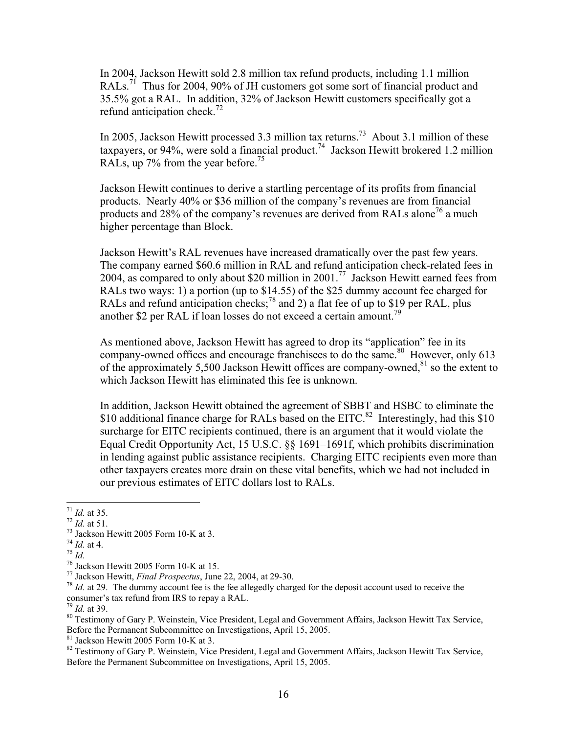In 2004, Jackson Hewitt sold 2.8 million tax refund products, including 1.1 million RALs.<sup>71</sup> Thus for 2004, 90% of JH customers got some sort of financial product and 35.5% got a RAL. In addition, 32% of Jackson Hewitt customers specifically got a refund anticipation check. $\frac{72}{2}$ 

In 2005, Jackson Hewitt processed 3.3 million tax returns.<sup>73</sup> About 3.1 million of these taxpayers, or 94%, were sold a financial product.<sup>74</sup> Jackson Hewitt brokered 1.2 million RALs, up 7% from the year before.<sup>75</sup>

Jackson Hewitt continues to derive a startling percentage of its profits from financial products. Nearly 40% or \$36 million of the company's revenues are from financial products and 28% of the company's revenues are derived from RALs alone<sup>76</sup> a much higher percentage than Block.

Jackson Hewitt's RAL revenues have increased dramatically over the past few years. The company earned \$60.6 million in RAL and refund anticipation check-related fees in 2004, as compared to only about \$20 million in 2001.<sup>77</sup> Jackson Hewitt earned fees from RALs two ways: 1) a portion (up to \$14.55) of the \$25 dummy account fee charged for RALs and refund anticipation checks; $^{78}$  and 2) a flat fee of up to \$19 per RAL, plus another \$2 per RAL if loan losses do not exceed a certain amount.<sup>79</sup>

As mentioned above, Jackson Hewitt has agreed to drop its "application" fee in its company-owned offices and encourage franchisees to do the same.<sup>80</sup> However, only 613 of the approximately 5,500 Jackson Hewitt offices are company-owned, $81$  so the extent to which Jackson Hewitt has eliminated this fee is unknown.

In addition, Jackson Hewitt obtained the agreement of SBBT and HSBC to eliminate the \$10 additional finance charge for RALs based on the EITC.<sup>82</sup> Interestingly, had this \$10 surcharge for EITC recipients continued, there is an argument that it would violate the Equal Credit Opportunity Act, 15 U.S.C. §§ 1691–1691f, which prohibits discrimination in lending against public assistance recipients. Charging EITC recipients even more than other taxpayers creates more drain on these vital benefits, which we had not included in our previous estimates of EITC dollars lost to RALs.

81 Jackson Hewitt 2005 Form 10-K at 3.

 $^{71}$  *Id.* at 35.

<sup>&</sup>lt;sup>72</sup> *Id.* at 51.<br><sup>73</sup> Jackson Hewitt 2005 Form 10-K at 3.<br><sup>74</sup> *Id.* at 4.

<sup>&</sup>lt;sup>75</sup> *Id. T*<sup>6</sup> Jackson Hewitt 2005 Form 10-K at 15.<br><sup>76</sup> Jackson Hewitt, *Final Prospectus*, June 22, 2004, at 29-30.

<sup>&</sup>lt;sup>78</sup> *Id.* at 29. The dummy account fee is the fee allegedly charged for the deposit account used to receive the consumer's tax refund from IRS to repay a RAL.<br> $^{79}$  *Id.* at 39.

<sup>&</sup>lt;sup>80</sup> Testimony of Gary P. Weinstein, Vice President, Legal and Government Affairs, Jackson Hewitt Tax Service, Before the Permanent Subcommittee on Investigations, April 15, 2005.

<sup>&</sup>lt;sup>82</sup> Testimony of Gary P. Weinstein, Vice President, Legal and Government Affairs, Jackson Hewitt Tax Service, Before the Permanent Subcommittee on Investigations, April 15, 2005.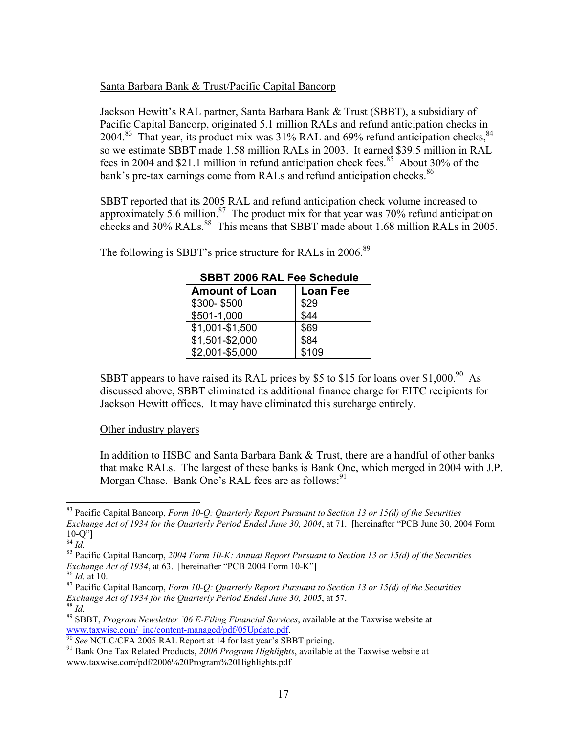# Santa Barbara Bank & Trust/Pacific Capital Bancorp

Jackson Hewitt's RAL partner, Santa Barbara Bank & Trust (SBBT), a subsidiary of Pacific Capital Bancorp, originated 5.1 million RALs and refund anticipation checks in 2004.<sup>83</sup> That year, its product mix was 31% RAL and 69% refund anticipation checks, <sup>84</sup> so we estimate SBBT made 1.58 million RALs in 2003. It earned \$39.5 million in RAL fees in 2004 and \$21.1 million in refund anticipation check fees.<sup>85</sup> About 30% of the bank's pre-tax earnings come from RALs and refund anticipation checks.<sup>86</sup>

SBBT reported that its 2005 RAL and refund anticipation check volume increased to approximately 5.6 million.<sup>87</sup> The product mix for that year was 70% refund anticipation checks and  $30\%$  RALs.<sup>88</sup> This means that SBBT made about 1.68 million RALs in 2005.

| <b>SBBT 2006 RAL Fee Schedule</b> |                 |  |  |
|-----------------------------------|-----------------|--|--|
| <b>Amount of Loan</b>             | <b>Loan Fee</b> |  |  |
| \$300-\$500                       | \$29            |  |  |
| \$501-1,000                       | \$44            |  |  |
| \$1,001-\$1,500                   | \$69            |  |  |
| \$1,501-\$2,000                   | \$84            |  |  |
| \$2,001-\$5,000                   | \$109           |  |  |

The following is SBBT's price structure for RALs in 2006.<sup>89</sup>

SBBT appears to have raised its RAL prices by \$5 to \$15 for loans over  $$1,000.<sup>90</sup>$  As discussed above, SBBT eliminated its additional finance charge for EITC recipients for Jackson Hewitt offices. It may have eliminated this surcharge entirely.

# Other industry players

In addition to HSBC and Santa Barbara Bank & Trust, there are a handful of other banks that make RALs. The largest of these banks is Bank One, which merged in 2004 with J.P. Morgan Chase. Bank One's RAL fees are as follows:<sup>91</sup>

<sup>83</sup> Pacific Capital Bancorp, *Form 10-Q: Quarterly Report Pursuant to Section 13 or 15(d) of the Securities Exchange Act of 1934 for the Quarterly Period Ended June 30, 2004*, at 71. [hereinafter "PCB June 30, 2004 Form  $^{10-Q'']}_{84}$  *Id.* 

<sup>&</sup>lt;sup>85</sup> Pacific Capital Bancorp, 2004 Form 10-K: Annual Report Pursuant to Section 13 or 15(d) of the Securities *Exchange Act of 1934*, at 63. [hereinafter "PCB 2004 Form 10-K"]

<sup>&</sup>lt;sup>86</sup> *Id.* at 10.<br><sup>87</sup> Pacific Capital Bancorp, *Form 10-Q: Quarterly Report Pursuant to Section 13 or 15(d) of the Securities Exchange <i>Act of 1934* for the *Quarterly Period Ended June 30, 2005*, at 57.

<sup>&</sup>lt;sup>88</sup> Id.<br><sup>89</sup> SBBT, *Program Newsletter '06 E-Filing Financial Services*, available at the Taxwise website at www.taxwise.com/\_inc/content-managed/pdf/05Update.pdf.<br><sup>90</sup> See NCLC/CFA 2005 RAL Report at 14 for last year's SBBT pricing.<br><sup>91</sup> Bank One Tax Related Products, 2006 Program Highlights, available at the Taxwise website at

www.taxwise.com/pdf/2006%20Program%20Highlights.pdf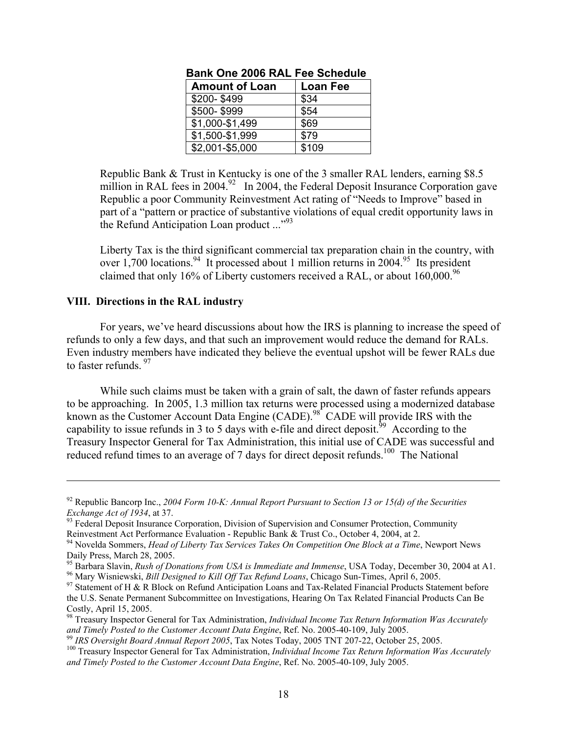| <b>Amount of Loan</b> | <b>Loan Fee</b> |  |
|-----------------------|-----------------|--|
| \$200-\$499           | \$34            |  |
| \$500-\$999           | \$54            |  |
| \$1,000-\$1,499       | \$69            |  |
| \$1,500-\$1,999       | \$79            |  |
| \$2,001-\$5,000       | \$109           |  |

# **Bank One 2006 RAL Fee Schedule**

Republic Bank & Trust in Kentucky is one of the 3 smaller RAL lenders, earning \$8.5 million in RAL fees in 2004.<sup>92</sup> In 2004, the Federal Deposit Insurance Corporation gave Republic a poor Community Reinvestment Act rating of "Needs to Improve" based in part of a "pattern or practice of substantive violations of equal credit opportunity laws in the Refund Anticipation Loan product  $\cdots$ <sup>93</sup>

Liberty Tax is the third significant commercial tax preparation chain in the country, with over 1,700 locations.<sup>94</sup> It processed about 1 million returns in 2004.<sup>95</sup> Its president claimed that only 16% of Liberty customers received a RAL, or about  $160,000^{96}$ 

#### **VIII. Directions in the RAL industry**

 $\overline{a}$ 

 For years, we've heard discussions about how the IRS is planning to increase the speed of refunds to only a few days, and that such an improvement would reduce the demand for RALs. Even industry members have indicated they believe the eventual upshot will be fewer RALs due to faster refunds.  $97$ 

While such claims must be taken with a grain of salt, the dawn of faster refunds appears to be approaching. In 2005, 1.3 million tax returns were processed using a modernized database known as the Customer Account Data Engine (CADE).<sup>98</sup> CADE will provide IRS with the capability to issue refunds in 3 to 5 days with e-file and direct deposit.<sup>99</sup> According to the Treasury Inspector General for Tax Administration, this initial use of CADE was successful and reduced refund times to an average of 7 days for direct deposit refunds.<sup>100</sup> The National

<sup>&</sup>lt;sup>92</sup> Republic Bancorp Inc., 2004 Form 10-K: Annual Report Pursuant to Section 13 or 15(d) of the Securities *Exchange Act of 1934*, at 37.

<sup>&</sup>lt;sup>93</sup> Federal Deposit Insurance Corporation, Division of Supervision and Consumer Protection, Community Reinvestment Act Performance Evaluation - Republic Bank & Trust Co., October 4, 2004, at 2.

<sup>94</sup> Novelda Sommers, *Head of Liberty Tax Services Takes On Competition One Block at a Time*, Newport News Daily Press, March 28, 2005.<br><sup>95</sup> Barbara Slavin, *Rush of Donations from USA is Immediate and Immense*, USA Today, December 30, 2004 at A1.

<sup>&</sup>lt;sup>96</sup> Mary Wisniewski, *Bill Designed to Kill Off Tax Refund Loans*, Chicago Sun-Times, April 6, 2005.<br><sup>97</sup> Statement of H & R Block on Refund Anticipation Loans and Tax-Related Financial Products Statement before the U.S. Senate Permanent Subcommittee on Investigations, Hearing On Tax Related Financial Products Can Be Costly, April 15, 2005.

<sup>98</sup> Treasury Inspector General for Tax Administration, *Individual Income Tax Return Information Was Accurately*  and Timely Posted to the Customer Account Data Engine, Ref. No. 2005-40-109, July 2005.<br><sup>99</sup> IRS Oversight Board Annual Report 2005, Tax Notes Today, 2005 TNT 207-22, October 25, 2005.<br><sup>99</sup> IRS Oversight Board Annual Repor

*and Timely Posted to the Customer Account Data Engine*, Ref. No. 2005-40-109, July 2005.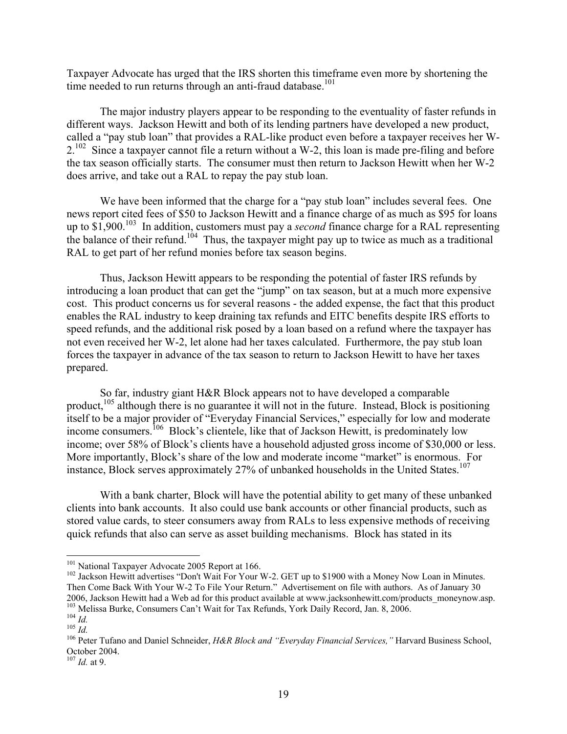Taxpayer Advocate has urged that the IRS shorten this timeframe even more by shortening the time needed to run returns through an anti-fraud database.<sup>101</sup>

 The major industry players appear to be responding to the eventuality of faster refunds in different ways. Jackson Hewitt and both of its lending partners have developed a new product, called a "pay stub loan" that provides a RAL-like product even before a taxpayer receives her W- $2^{102}$  Since a taxpayer cannot file a return without a W-2, this loan is made pre-filing and before the tax season officially starts. The consumer must then return to Jackson Hewitt when her W-2 does arrive, and take out a RAL to repay the pay stub loan.

 We have been informed that the charge for a "pay stub loan" includes several fees. One news report cited fees of \$50 to Jackson Hewitt and a finance charge of as much as \$95 for loans up to \$1,900.<sup>103</sup> In addition, customers must pay a *second* finance charge for a RAL representing the balance of their refund.<sup>104</sup> Thus, the taxpayer might pay up to twice as much as a traditional RAL to get part of her refund monies before tax season begins.

 Thus, Jackson Hewitt appears to be responding the potential of faster IRS refunds by introducing a loan product that can get the "jump" on tax season, but at a much more expensive cost. This product concerns us for several reasons - the added expense, the fact that this product enables the RAL industry to keep draining tax refunds and EITC benefits despite IRS efforts to speed refunds, and the additional risk posed by a loan based on a refund where the taxpayer has not even received her W-2, let alone had her taxes calculated. Furthermore, the pay stub loan forces the taxpayer in advance of the tax season to return to Jackson Hewitt to have her taxes prepared.

 So far, industry giant H&R Block appears not to have developed a comparable product,<sup>105</sup> although there is no guarantee it will not in the future. Instead, Block is positioning itself to be a major provider of "Everyday Financial Services," especially for low and moderate income consumers.<sup>106</sup> Block's clientele, like that of Jackson Hewitt, is predominately low income; over 58% of Block's clients have a household adjusted gross income of \$30,000 or less. More importantly, Block's share of the low and moderate income "market" is enormous. For instance, Block serves approximately 27% of unbanked households in the United States.<sup>107</sup>

With a bank charter, Block will have the potential ability to get many of these unbanked clients into bank accounts. It also could use bank accounts or other financial products, such as stored value cards, to steer consumers away from RALs to less expensive methods of receiving quick refunds that also can serve as asset building mechanisms. Block has stated in its

<sup>&</sup>lt;sup>101</sup> National Taxpayer Advocate 2005 Report at 166.<br><sup>102</sup> Jackson Hewitt advertises "Don't Wait For Your W-2. GET up to \$1900 with a Money Now Loan in Minutes. Then Come Back With Your W-2 To File Your Return." Advertisement on file with authors. As of January 30 2006, Jackson Hewitt had a Web ad for this product available at www.jacksonhewitt.com/products\_moneynow.asp.<br><sup>103</sup> Melissa Burke, Consumers Can't Wait for Tax Refunds, York Daily Record, Jan. 8, 2006.<br><sup>104</sup> *Id.*<br><sup>105</sup> *I* 

October 2004.

<sup>107</sup> *Id.* at 9.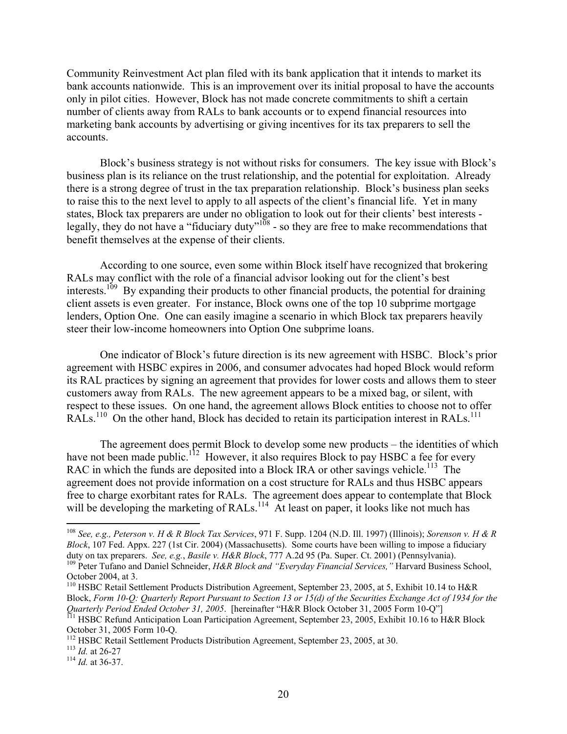Community Reinvestment Act plan filed with its bank application that it intends to market its bank accounts nationwide. This is an improvement over its initial proposal to have the accounts only in pilot cities. However, Block has not made concrete commitments to shift a certain number of clients away from RALs to bank accounts or to expend financial resources into marketing bank accounts by advertising or giving incentives for its tax preparers to sell the accounts.

Block's business strategy is not without risks for consumers. The key issue with Block's business plan is its reliance on the trust relationship, and the potential for exploitation. Already there is a strong degree of trust in the tax preparation relationship. Block's business plan seeks to raise this to the next level to apply to all aspects of the client's financial life. Yet in many states, Block tax preparers are under no obligation to look out for their clients' best interests legally, they do not have a "fiduciary duty"<sup>108</sup> - so they are free to make recommendations that benefit themselves at the expense of their clients.

According to one source, even some within Block itself have recognized that brokering RALs may conflict with the role of a financial advisor looking out for the client's best interests.<sup>109</sup> By expanding their products to other financial products, the potential for draining client assets is even greater. For instance, Block owns one of the top 10 subprime mortgage lenders, Option One. One can easily imagine a scenario in which Block tax preparers heavily steer their low-income homeowners into Option One subprime loans.

 One indicator of Block's future direction is its new agreement with HSBC. Block's prior agreement with HSBC expires in 2006, and consumer advocates had hoped Block would reform its RAL practices by signing an agreement that provides for lower costs and allows them to steer customers away from RALs. The new agreement appears to be a mixed bag, or silent, with respect to these issues. On one hand, the agreement allows Block entities to choose not to offer RALs.<sup>110</sup> On the other hand, Block has decided to retain its participation interest in RALs.<sup>111</sup>

The agreement does permit Block to develop some new products – the identities of which have not been made public.<sup>112</sup> However, it also requires Block to pay HSBC a fee for every RAC in which the funds are deposited into a Block IRA or other savings vehicle.<sup>113</sup> The agreement does not provide information on a cost structure for RALs and thus HSBC appears free to charge exorbitant rates for RALs.The agreement does appear to contemplate that Block will be developing the marketing of RALs.<sup>114</sup> At least on paper, it looks like not much has

<sup>108</sup> *See, e.g., Peterson v. H & R Block Tax Services*, 971 F. Supp. 1204 (N.D. Ill. 1997) (Illinois); *Sorenson v. H & R Block*, 107 Fed. Appx. 227 (1st Cir. 2004) (Massachusetts). Some courts have been willing to impose a fiduciary duty on tax preparers. *See, e.g., Basile v. H&R Block*, 777 A.2d 95 (Pa. Super. Ct. 2001) (Pennsylvania). <sup>109</sup> Peter Tufano and Daniel Schneider, H&R Block and "Everyday Financial Services," Harvard Business School,

October 2004, at 3.

<sup>110</sup> HSBC Retail Settlement Products Distribution Agreement, September 23, 2005, at 5, Exhibit 10.14 to H&R Block, *Form 10-Q: Quarterly Report Pursuant to Section 13 or 15(d) of the Securities Exchange Act of 1934 for the Quarterly Period Ended October 31, 2005*. [hereinafter "H&R Block October 31, 2005 Form 10-Q"]<br><sup>111</sup> HSBC Refund Anticipation Loan Participation Agreement, September 23, 2005, Exhibit 10.16 to H&R Block

October 31, 2005 Form 10-Q.

<sup>112</sup> HSBC Retail Settlement Products Distribution Agreement, September 23, 2005, at 30. 113 *Id.* at 26-27 114 *Id.* at 36-37.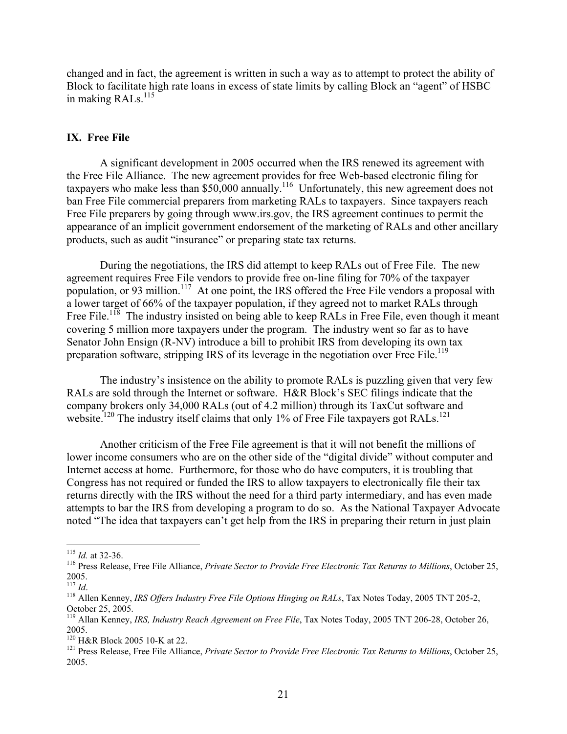changed and in fact, the agreement is written in such a way as to attempt to protect the ability of Block to facilitate high rate loans in excess of state limits by calling Block an "agent" of HSBC in making RALs.<sup>115</sup>

# **IX. Free File**

 A significant development in 2005 occurred when the IRS renewed its agreement with the Free File Alliance. The new agreement provides for free Web-based electronic filing for taxpayers who make less than \$50,000 annually.<sup>116</sup> Unfortunately, this new agreement does not ban Free File commercial preparers from marketing RALs to taxpayers. Since taxpayers reach Free File preparers by going through www.irs.gov, the IRS agreement continues to permit the appearance of an implicit government endorsement of the marketing of RALs and other ancillary products, such as audit "insurance" or preparing state tax returns.

 During the negotiations, the IRS did attempt to keep RALs out of Free File. The new agreement requires Free File vendors to provide free on-line filing for 70% of the taxpayer population, or 93 million.<sup>117</sup> At one point, the IRS offered the Free File vendors a proposal with a lower target of 66% of the taxpayer population, if they agreed not to market RALs through Free File.<sup>118</sup> The industry insisted on being able to keep RALs in Free File, even though it meant covering 5 million more taxpayers under the program. The industry went so far as to have Senator John Ensign (R-NV) introduce a bill to prohibit IRS from developing its own tax preparation software, stripping IRS of its leverage in the negotiation over Free File.<sup>119</sup>

 The industry's insistence on the ability to promote RALs is puzzling given that very few RALs are sold through the Internet or software. H&R Block's SEC filings indicate that the company brokers only 34,000 RALs (out of 4.2 million) through its TaxCut software and website.<sup>120</sup> The industry itself claims that only 1% of Free File taxpayers got RALs.<sup>121</sup>

 Another criticism of the Free File agreement is that it will not benefit the millions of lower income consumers who are on the other side of the "digital divide" without computer and Internet access at home. Furthermore, for those who do have computers, it is troubling that Congress has not required or funded the IRS to allow taxpayers to electronically file their tax returns directly with the IRS without the need for a third party intermediary, and has even made attempts to bar the IRS from developing a program to do so. As the National Taxpayer Advocate noted "The idea that taxpayers can't get help from the IRS in preparing their return in just plain

 $115$  *Id.* at 32-36.

<sup>&</sup>lt;sup>116</sup> Press Release, Free File Alliance, *Private Sector to Provide Free Electronic Tax Returns to Millions*, October 25,  $\frac{2005}{^{117}$  *Id.* 

<sup>&</sup>lt;sup>118</sup> Allen Kenney, *IRS Offers Industry Free File Options Hinging on RALs*, Tax Notes Today, 2005 TNT 205-2, October 25, 2005.

<sup>119</sup> Allan Kenney, *IRS, Industry Reach Agreement on Free File*, Tax Notes Today, 2005 TNT 206-28, October 26, 2005.<br><sup>120</sup> H&R Block 2005 10-K at 22.

<sup>&</sup>lt;sup>121</sup> Press Release, Free File Alliance, *Private Sector to Provide Free Electronic Tax Returns to Millions*, October 25, 2005.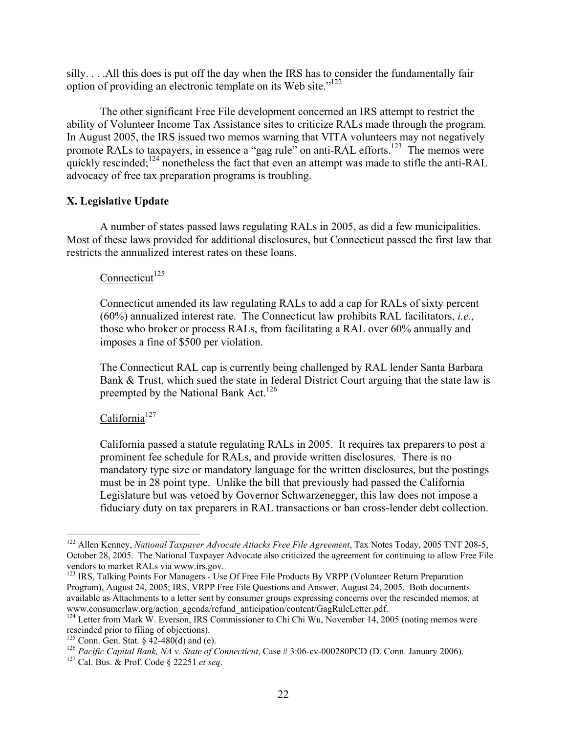silly. . . .All this does is put off the day when the IRS has to consider the fundamentally fair option of providing an electronic template on its Web site."122

 The other significant Free File development concerned an IRS attempt to restrict the ability of Volunteer Income Tax Assistance sites to criticize RALs made through the program. In August 2005, the IRS issued two memos warning that VITA volunteers may not negatively promote RALs to taxpayers, in essence a "gag rule" on anti-RAL efforts.<sup>123</sup> The memos were quickly rescinded;<sup>124</sup> nonetheless the fact that even an attempt was made to stifle the anti-RAL advocacy of free tax preparation programs is troubling.

# **X. Legislative Update**

 A number of states passed laws regulating RALs in 2005, as did a few municipalities. Most of these laws provided for additional disclosures, but Connecticut passed the first law that restricts the annualized interest rates on these loans.

# Connecticut<sup>125</sup>

Connecticut amended its law regulating RALs to add a cap for RALs of sixty percent (60%) annualized interest rate. The Connecticut law prohibits RAL facilitators, *i.e.*, those who broker or process RALs, from facilitating a RAL over 60% annually and imposes a fine of \$500 per violation.

The Connecticut RAL cap is currently being challenged by RAL lender Santa Barbara Bank & Trust, which sued the state in federal District Court arguing that the state law is preempted by the National Bank Act.<sup>126</sup>

# California $127$

1

California passed a statute regulating RALs in 2005. It requires tax preparers to post a prominent fee schedule for RALs, and provide written disclosures. There is no mandatory type size or mandatory language for the written disclosures, but the postings must be in 28 point type. Unlike the bill that previously had passed the California Legislature but was vetoed by Governor Schwarzenegger, this law does not impose a fiduciary duty on tax preparers in RAL transactions or ban cross-lender debt collection.

<sup>&</sup>lt;sup>122</sup> Allen Kenney, *National Taxpayer Advocate Attacks Free File Agreement*, Tax Notes Today, 2005 TNT 208-5, October 28, 2005. The National Taxpayer Advocate also criticized the agreement for continuing to allow Free File vendors to market RALs via www.irs.gov.

<sup>&</sup>lt;sup>123</sup> IRS, Talking Points For Managers - Use Of Free File Products By VRPP (Volunteer Return Preparation Program), August 24, 2005; IRS, VRPP Free File Questions and Answer, August 24, 2005. Both documents available as Attachments to a letter sent by consumer groups expressing concerns over the rescinded memos, at www.consumerlaw.org/action agenda/refund anticipation/content/GagRuleLetter.pdf.

<sup>&</sup>lt;sup>124</sup> Letter from Mark W. Everson, IRS Commissioner to Chi Chi Wu, November 14, 2005 (noting memos were rescinded prior to filing of objections).<br><sup>125</sup> Conn. Gen. Stat. § 42-480(d) and (e).

<sup>&</sup>lt;sup>126</sup> Pacific Capital Bank, NA v. State of Connecticut, Case # 3:06-cv-000280PCD (D. Conn. January 2006). <sup>127</sup> Cal. Bus. & Prof. Code § 22251 *et seq.*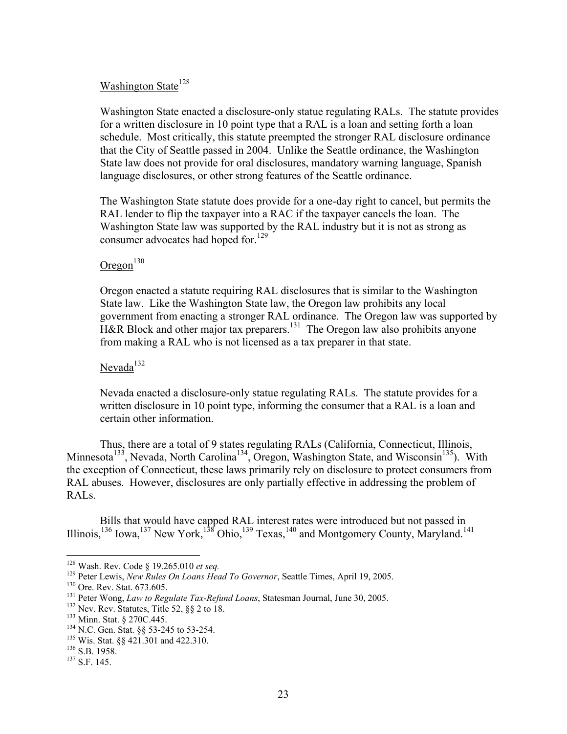#### Washington State<sup>128</sup>

Washington State enacted a disclosure-only statue regulating RALs. The statute provides for a written disclosure in 10 point type that a RAL is a loan and setting forth a loan schedule. Most critically, this statute preempted the stronger RAL disclosure ordinance that the City of Seattle passed in 2004. Unlike the Seattle ordinance, the Washington State law does not provide for oral disclosures, mandatory warning language, Spanish language disclosures, or other strong features of the Seattle ordinance.

The Washington State statute does provide for a one-day right to cancel, but permits the RAL lender to flip the taxpayer into a RAC if the taxpayer cancels the loan. The Washington State law was supported by the RAL industry but it is not as strong as consumer advocates had hoped for.<sup>129</sup>

# $O$ regon<sup>130</sup>

Oregon enacted a statute requiring RAL disclosures that is similar to the Washington State law. Like the Washington State law, the Oregon law prohibits any local government from enacting a stronger RAL ordinance. The Oregon law was supported by H&R Block and other major tax preparers.<sup>131</sup> The Oregon law also prohibits anyone from making a RAL who is not licensed as a tax preparer in that state.

#### Nevada $132$

Nevada enacted a disclosure-only statue regulating RALs. The statute provides for a written disclosure in 10 point type, informing the consumer that a RAL is a loan and certain other information.

 Thus, there are a total of 9 states regulating RALs (California, Connecticut, Illinois, Minnesota<sup>133</sup>, Nevada, North Carolina<sup>134</sup>, Oregon, Washington State, and Wisconsin<sup>135</sup>). With the exception of Connecticut, these laws primarily rely on disclosure to protect consumers from RAL abuses. However, disclosures are only partially effective in addressing the problem of RALs.

 Bills that would have capped RAL interest rates were introduced but not passed in Illinois,<sup>136</sup> Iowa,<sup>137</sup> New York,<sup>138</sup> Ohio,<sup>139</sup> Texas,<sup>140</sup> and Montgomery County, Maryland.<sup>141</sup>

<sup>&</sup>lt;sup>128</sup> Wash. Rev. Code § 19.265.010 *et seq.*<br><sup>129</sup> Peter Lewis, *New Rules On Loans Head To Governor*, Seattle Times, April 19, 2005.<br><sup>130</sup> Ore. Rev. Stat. 673.605.<br><sup>131</sup> Peter Wong, *Law to Regulate Tax-Refund Loans*, St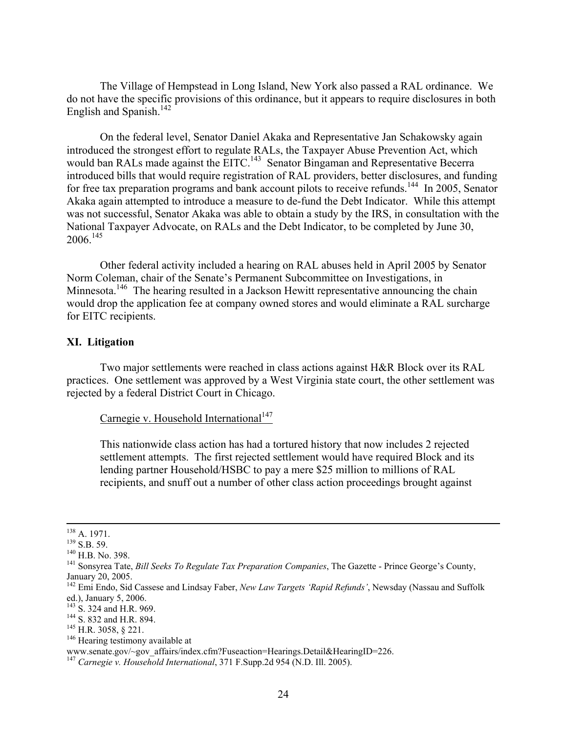The Village of Hempstead in Long Island, New York also passed a RAL ordinance. We do not have the specific provisions of this ordinance, but it appears to require disclosures in both English and Spanish.<sup>142</sup>

 On the federal level, Senator Daniel Akaka and Representative Jan Schakowsky again introduced the strongest effort to regulate RALs, the Taxpayer Abuse Prevention Act, which would ban RALs made against the EITC.<sup>143</sup> Senator Bingaman and Representative Becerra introduced bills that would require registration of RAL providers, better disclosures, and funding for free tax preparation programs and bank account pilots to receive refunds.<sup>144</sup> In 2005, Senator Akaka again attempted to introduce a measure to de-fund the Debt Indicator. While this attempt was not successful, Senator Akaka was able to obtain a study by the IRS, in consultation with the National Taxpayer Advocate, on RALs and the Debt Indicator, to be completed by June 30,  $2006.<sup>145</sup>$ 

 Other federal activity included a hearing on RAL abuses held in April 2005 by Senator Norm Coleman, chair of the Senate's Permanent Subcommittee on Investigations, in Minnesota.<sup>146</sup> The hearing resulted in a Jackson Hewitt representative announcing the chain would drop the application fee at company owned stores and would eliminate a RAL surcharge for EITC recipients.

# **XI. Litigation**

 Two major settlements were reached in class actions against H&R Block over its RAL practices. One settlement was approved by a West Virginia state court, the other settlement was rejected by a federal District Court in Chicago.

#### Carnegie v. Household International<sup>147</sup>

This nationwide class action has had a tortured history that now includes 2 rejected settlement attempts. The first rejected settlement would have required Block and its lending partner Household/HSBC to pay a mere \$25 million to millions of RAL recipients, and snuff out a number of other class action proceedings brought against

<sup>&</sup>lt;sup>138</sup> A. 1971.<br><sup>139</sup> S.B. 59.<br><sup>140</sup> H.B. No. 398.<br><sup>141</sup> Sonsyrea Tate, *Bill Seeks To Regulate Tax Preparation Companies*, The Gazette - Prince George's County, January 20, 2005.

<sup>&</sup>lt;sup>142</sup> Emi Endo, Sid Cassese and Lindsay Faber, *New Law Targets 'Rapid Refunds'*, Newsday (Nassau and Suffolk ed.), January 5, 2006.<br><sup>143</sup> S. 324 and H.R. 969.

<sup>&</sup>lt;sup>144</sup> S. 832 and H.R. 894.<br><sup>145</sup> H.R. 3058, § 221.<br><sup>146</sup> Hearing testimony available at

www.senate.gov/~gov\_affairs/index.cfm?Fuseaction=Hearings.Detail&HearingID=226.

<sup>147</sup> *Carnegie v. Household International*, 371 F.Supp.2d 954 (N.D. Ill. 2005).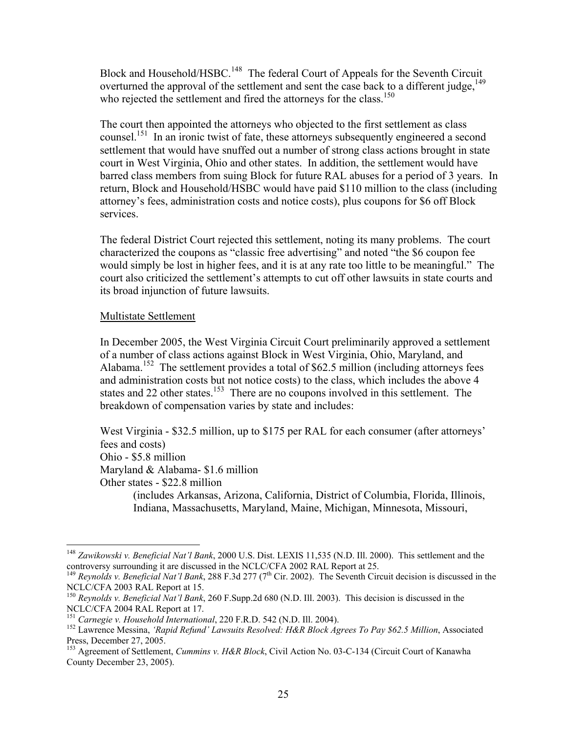Block and Household/HSBC.<sup>148</sup> The federal Court of Appeals for the Seventh Circuit overturned the approval of the settlement and sent the case back to a different judge,  $^{149}$ who rejected the settlement and fired the attorneys for the class.<sup>150</sup>

The court then appointed the attorneys who objected to the first settlement as class counsel.<sup>151</sup> In an ironic twist of fate, these attorneys subsequently engineered a second settlement that would have snuffed out a number of strong class actions brought in state court in West Virginia, Ohio and other states. In addition, the settlement would have barred class members from suing Block for future RAL abuses for a period of 3 years. In return, Block and Household/HSBC would have paid \$110 million to the class (including attorney's fees, administration costs and notice costs), plus coupons for \$6 off Block services.

The federal District Court rejected this settlement, noting its many problems. The court characterized the coupons as "classic free advertising" and noted "the \$6 coupon fee would simply be lost in higher fees, and it is at any rate too little to be meaningful." The court also criticized the settlement's attempts to cut off other lawsuits in state courts and its broad injunction of future lawsuits.

# Multistate Settlement

In December 2005, the West Virginia Circuit Court preliminarily approved a settlement of a number of class actions against Block in West Virginia, Ohio, Maryland, and Alabama<sup>152</sup> The settlement provides a total of \$62.5 million (including attorneys fees and administration costs but not notice costs) to the class, which includes the above 4 states and 22 other states.<sup>153</sup> There are no coupons involved in this settlement. The breakdown of compensation varies by state and includes:

West Virginia - \$32.5 million, up to \$175 per RAL for each consumer (after attorneys' fees and costs) Ohio - \$5.8 million Maryland & Alabama- \$1.6 million Other states - \$22.8 million (includes Arkansas, Arizona, California, District of Columbia, Florida, Illinois, Indiana, Massachusetts, Maryland, Maine, Michigan, Minnesota, Missouri,

 $\overline{a}$ <sup>148</sup> *Zawikowski v. Beneficial Nat'l Bank*, 2000 U.S. Dist. LEXIS 11,535 (N.D. Ill. 2000). This settlement and the controversy surrounding it are discussed in the NCLC/CFA 2002 RAL Report at 25.

<sup>&</sup>lt;sup>149</sup> *Reynolds v. Beneficial Nat'l Bank*, 288 F.3d 277 (7<sup>th</sup> Cir. 2002). The Seventh Circuit decision is discussed in the NCLC/CFA 2003 RAL Report at 15.

<sup>150</sup> *Reynolds v. Beneficial Nat'l Bank*, 260 F.Supp.2d 680 (N.D. Ill. 2003). This decision is discussed in the NCLC/CFA 2004 RAL Report at 17.<br><sup>151</sup> Carnegie v. Household International, 220 F.R.D. 542 (N.D. Ill. 2004).

<sup>&</sup>lt;sup>152</sup> Lawrence Messina, *'Rapid Refund' Lawsuits Resolved: H&R Block Agrees To Pay \$62.5 Million*, Associated Press, December 27, 2005.

<sup>153</sup> Agreement of Settlement, *Cummins v. H&R Block*, Civil Action No. 03-C-134 (Circuit Court of Kanawha County December 23, 2005).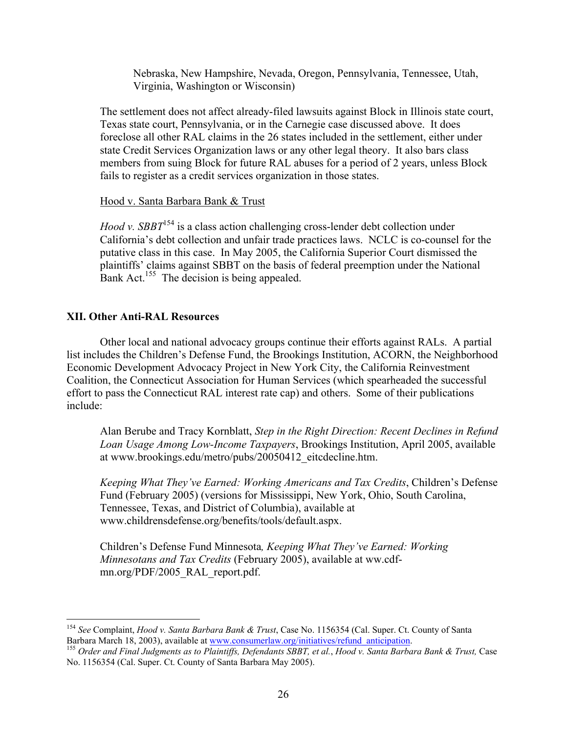Nebraska, New Hampshire, Nevada, Oregon, Pennsylvania, Tennessee, Utah, Virginia, Washington or Wisconsin)

The settlement does not affect already-filed lawsuits against Block in Illinois state court, Texas state court, Pennsylvania, or in the Carnegie case discussed above. It does foreclose all other RAL claims in the 26 states included in the settlement, either under state Credit Services Organization laws or any other legal theory. It also bars class members from suing Block for future RAL abuses for a period of 2 years, unless Block fails to register as a credit services organization in those states.

# Hood v. Santa Barbara Bank & Trust

*Hood v. SBBT*<sup>154</sup> is a class action challenging cross-lender debt collection under California's debt collection and unfair trade practices laws. NCLC is co-counsel for the putative class in this case. In May 2005, the California Superior Court dismissed the plaintiffs' claims against SBBT on the basis of federal preemption under the National Bank Act.<sup>155</sup> The decision is being appealed.

# **XII. Other Anti-RAL Resources**

 $\overline{a}$ 

 Other local and national advocacy groups continue their efforts against RALs. A partial list includes the Children's Defense Fund, the Brookings Institution, ACORN, the Neighborhood Economic Development Advocacy Project in New York City, the California Reinvestment Coalition, the Connecticut Association for Human Services (which spearheaded the successful effort to pass the Connecticut RAL interest rate cap) and others. Some of their publications include:

Alan Berube and Tracy Kornblatt, *Step in the Right Direction: Recent Declines in Refund Loan Usage Among Low-Income Taxpayers*, Brookings Institution, April 2005, available at www.brookings.edu/metro/pubs/20050412\_eitcdecline.htm.

*Keeping What They've Earned: Working Americans and Tax Credits*, Children's Defense Fund (February 2005) (versions for Mississippi, New York, Ohio, South Carolina, Tennessee, Texas, and District of Columbia), available at www.childrensdefense.org/benefits/tools/default.aspx.

Children's Defense Fund Minnesota*, Keeping What They've Earned: Working Minnesotans and Tax Credits* (February 2005), available at ww.cdfmn.org/PDF/2005\_RAL\_report.pdf.

<sup>154</sup> *See* Complaint, *Hood v. Santa Barbara Bank & Trust*, Case No. 1156354 (Cal. Super. Ct. County of Santa Barbara March 18, 2003), available at www.consumerlaw.org/initiatives/refund\_anticipation. 155 *Order and Final Judgments as to Plaintiffs, Defendants SBBT, et al.*, *Hood v. Santa Barbara Bank & Trust,* Case

No. 1156354 (Cal. Super. Ct. County of Santa Barbara May 2005).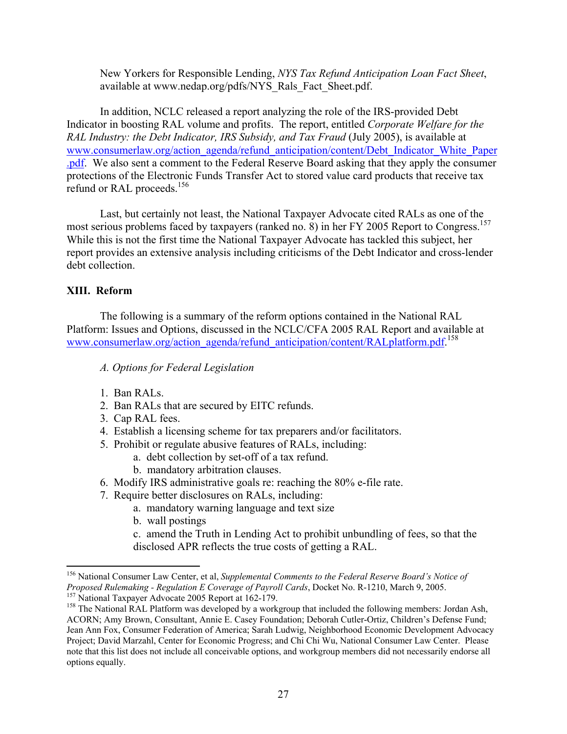New Yorkers for Responsible Lending, *NYS Tax Refund Anticipation Loan Fact Sheet*, available at www.nedap.org/pdfs/NYS\_Rals\_Fact\_Sheet.pdf.

 In addition, NCLC released a report analyzing the role of the IRS-provided Debt Indicator in boosting RAL volume and profits. The report, entitled *Corporate Welfare for the RAL Industry: the Debt Indicator, IRS Subsidy, and Tax Fraud* (July 2005), is available at www.consumerlaw.org/action\_agenda/refund\_anticipation/content/Debt\_Indicator\_White\_Paper .pdf. We also sent a comment to the Federal Reserve Board asking that they apply the consumer protections of the Electronic Funds Transfer Act to stored value card products that receive tax refund or RAL proceeds.<sup>156</sup>

 Last, but certainly not least, the National Taxpayer Advocate cited RALs as one of the most serious problems faced by taxpayers (ranked no. 8) in her FY 2005 Report to Congress.<sup>157</sup> While this is not the first time the National Taxpayer Advocate has tackled this subject, her report provides an extensive analysis including criticisms of the Debt Indicator and cross-lender debt collection.

# **XIII. Reform**

1

 The following is a summary of the reform options contained in the National RAL Platform: Issues and Options, discussed in the NCLC/CFA 2005 RAL Report and available at www.consumerlaw.org/action\_agenda/refund\_anticipation/content/RALplatform.pdf.<sup>158</sup>

- *A. Options for Federal Legislation*
- 1. Ban RALs.
- 2. Ban RALs that are secured by EITC refunds.
- 3. Cap RAL fees.
- 4. Establish a licensing scheme for tax preparers and/or facilitators.
- 5. Prohibit or regulate abusive features of RALs, including:
	- a. debt collection by set-off of a tax refund.
	- b. mandatory arbitration clauses.
- 6. Modify IRS administrative goals re: reaching the 80% e-file rate.
- 7. Require better disclosures on RALs, including:
	- a. mandatory warning language and text size
	- b. wall postings
	- c. amend the Truth in Lending Act to prohibit unbundling of fees, so that the disclosed APR reflects the true costs of getting a RAL.

<sup>156</sup> National Consumer Law Center, et al, *Supplemental Comments to the Federal Reserve Board's Notice of Proposed Rulemaking - Regulation E Coverage of Payroll Cards*, Docket No. R-1210, March 9, 2005.<br><sup>157</sup> National Taxpayer Advocate 2005 Report at 162-179.<br><sup>158</sup> The National RAL Platform was developed by a workgroup that i

ACORN; Amy Brown, Consultant, Annie E. Casey Foundation; Deborah Cutler-Ortiz, Children's Defense Fund; Jean Ann Fox, Consumer Federation of America; Sarah Ludwig, Neighborhood Economic Development Advocacy Project; David Marzahl, Center for Economic Progress; and Chi Chi Wu, National Consumer Law Center. Please note that this list does not include all conceivable options, and workgroup members did not necessarily endorse all options equally.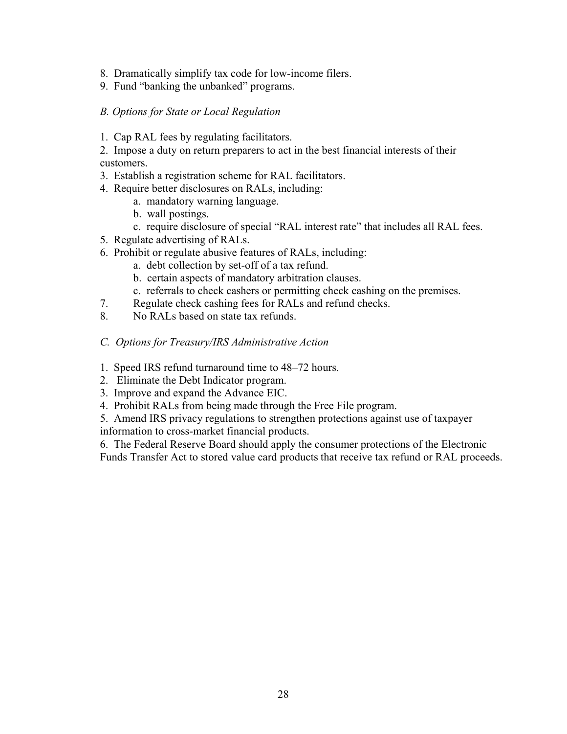- 8. Dramatically simplify tax code for low-income filers.
- 9. Fund "banking the unbanked" programs.

#### *B. Options for State or Local Regulation*

1. Cap RAL fees by regulating facilitators.

2. Impose a duty on return preparers to act in the best financial interests of their customers.

- 3. Establish a registration scheme for RAL facilitators.
- 4. Require better disclosures on RALs, including:
	- a. mandatory warning language.
	- b. wall postings.
	- c. require disclosure of special "RAL interest rate" that includes all RAL fees.
- 5. Regulate advertising of RALs.
- 6. Prohibit or regulate abusive features of RALs, including:
	- a. debt collection by set-off of a tax refund.
	- b. certain aspects of mandatory arbitration clauses.
	- c. referrals to check cashers or permitting check cashing on the premises.
- 7. Regulate check cashing fees for RALs and refund checks.
- 8. No RALs based on state tax refunds.
- *C. Options for Treasury/IRS Administrative Action*
- 1. Speed IRS refund turnaround time to 48–72 hours.
- 2. Eliminate the Debt Indicator program.
- 3. Improve and expand the Advance EIC.
- 4. Prohibit RALs from being made through the Free File program.

5. Amend IRS privacy regulations to strengthen protections against use of taxpayer information to cross-market financial products.

6. The Federal Reserve Board should apply the consumer protections of the Electronic

Funds Transfer Act to stored value card products that receive tax refund or RAL proceeds.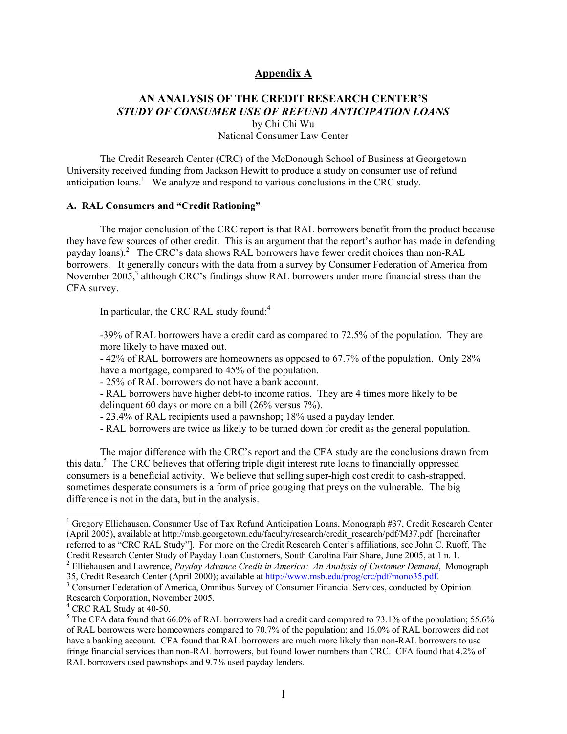#### **Appendix A**

### **AN ANALYSIS OF THE CREDIT RESEARCH CENTER'S**  *STUDY OF CONSUMER USE OF REFUND ANTICIPATION LOANS*  by Chi Chi Wu National Consumer Law Center

 The Credit Research Center (CRC) of the McDonough School of Business at Georgetown University received funding from Jackson Hewitt to produce a study on consumer use of refund anticipation loans.<sup>1</sup> We analyze and respond to various conclusions in the CRC study.

#### **A. RAL Consumers and "Credit Rationing"**

 The major conclusion of the CRC report is that RAL borrowers benefit from the product because they have few sources of other credit. This is an argument that the report's author has made in defending payday loans).<sup>2</sup> The CRC's data shows RAL borrowers have fewer credit choices than non-RAL borrowers. It generally concurs with the data from a survey by Consumer Federation of America from November 2005,<sup>3</sup> although CRC's findings show RAL borrowers under more financial stress than the CFA survey.

In particular, the CRC RAL study found:<sup>4</sup>

-39% of RAL borrowers have a credit card as compared to 72.5% of the population. They are more likely to have maxed out.

- 42% of RAL borrowers are homeowners as opposed to 67.7% of the population. Only 28% have a mortgage, compared to 45% of the population.

- 25% of RAL borrowers do not have a bank account.

- RAL borrowers have higher debt-to income ratios. They are 4 times more likely to be delinquent 60 days or more on a bill (26% versus 7%).

- 23.4% of RAL recipients used a pawnshop; 18% used a payday lender.

- RAL borrowers are twice as likely to be turned down for credit as the general population.

 The major difference with the CRC's report and the CFA study are the conclusions drawn from this data.<sup>5</sup> The CRC believes that offering triple digit interest rate loans to financially oppressed consumers is a beneficial activity. We believe that selling super-high cost credit to cash-strapped, sometimes desperate consumers is a form of price gouging that preys on the vulnerable. The big difference is not in the data, but in the analysis.

<sup>&</sup>lt;sup>1</sup> Gregory Elliehausen, Consumer Use of Tax Refund Anticipation Loans, Monograph #37, Credit Research Center (April 2005), available at http://msb.georgetown.edu/faculty/research/credit\_research/pdf/M37.pdf [hereinafter referred to as "CRC RAL Study"]. For more on the Credit Research Center's affiliations, see John C. Ruoff, The Credit Research Center Study of Payday Loan Customers, South Carolina Fair Share, June 2005, at 1 n. 1. 2

Elliehausen and Lawrence, *Payday Advance Credit in America: An Analysis of Customer Demand*, Monograph 35, Credit Research Center (April 2000); available at http://www.msb.edu/prog/crc/pdf/mono35.pdf. 3

<sup>&</sup>lt;sup>3</sup> Consumer Federation of America, Omnibus Survey of Consumer Financial Services, conducted by Opinion Research Corporation, November 2005.

<sup>4</sup> CRC RAL Study at 40-50.

<sup>&</sup>lt;sup>5</sup> The CFA data found that 66.0% of RAL borrowers had a credit card compared to 73.1% of the population; 55.6% of RAL borrowers were homeowners compared to 70.7% of the population; and 16.0% of RAL borrowers did not have a banking account. CFA found that RAL borrowers are much more likely than non-RAL borrowers to use fringe financial services than non-RAL borrowers, but found lower numbers than CRC. CFA found that 4.2% of RAL borrowers used pawnshops and 9.7% used payday lenders.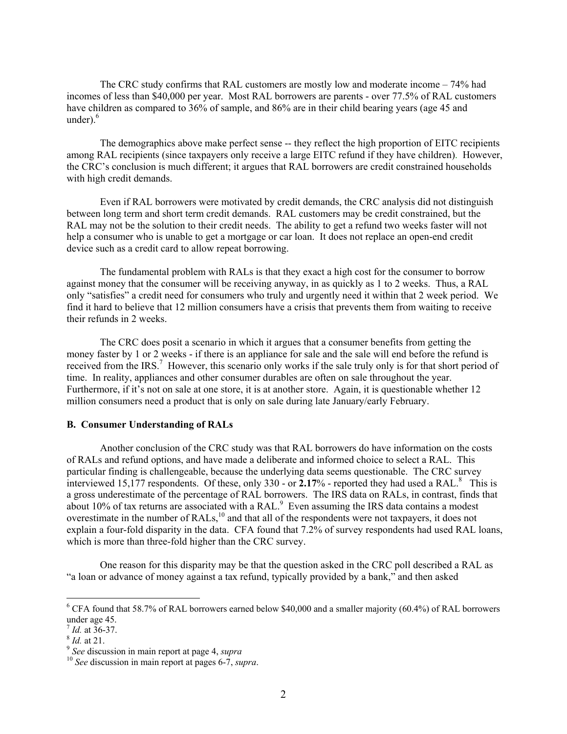The CRC study confirms that RAL customers are mostly low and moderate income – 74% had incomes of less than \$40,000 per year. Most RAL borrowers are parents - over 77.5% of RAL customers have children as compared to 36% of sample, and 86% are in their child bearing years (age 45 and under). $6$ 

 The demographics above make perfect sense -- they reflect the high proportion of EITC recipients among RAL recipients (since taxpayers only receive a large EITC refund if they have children). However, the CRC's conclusion is much different; it argues that RAL borrowers are credit constrained households with high credit demands.

 Even if RAL borrowers were motivated by credit demands, the CRC analysis did not distinguish between long term and short term credit demands. RAL customers may be credit constrained, but the RAL may not be the solution to their credit needs. The ability to get a refund two weeks faster will not help a consumer who is unable to get a mortgage or car loan. It does not replace an open-end credit device such as a credit card to allow repeat borrowing.

 The fundamental problem with RALs is that they exact a high cost for the consumer to borrow against money that the consumer will be receiving anyway, in as quickly as 1 to 2 weeks. Thus, a RAL only "satisfies" a credit need for consumers who truly and urgently need it within that 2 week period. We find it hard to believe that 12 million consumers have a crisis that prevents them from waiting to receive their refunds in 2 weeks.

 The CRC does posit a scenario in which it argues that a consumer benefits from getting the money faster by 1 or 2 weeks - if there is an appliance for sale and the sale will end before the refund is received from the IRS.<sup>7</sup> However, this scenario only works if the sale truly only is for that short period of time. In reality, appliances and other consumer durables are often on sale throughout the year. Furthermore, if it's not on sale at one store, it is at another store. Again, it is questionable whether 12 million consumers need a product that is only on sale during late January/early February.

#### **B. Consumer Understanding of RALs**

 Another conclusion of the CRC study was that RAL borrowers do have information on the costs of RALs and refund options, and have made a deliberate and informed choice to select a RAL. This particular finding is challengeable, because the underlying data seems questionable. The CRC survey interviewed 15,177 respondents. Of these, only  $330$  - or  $2.17\%$  - reported they had used a RAL.<sup>8</sup> This is a gross underestimate of the percentage of RAL borrowers. The IRS data on RALs, in contrast, finds that about 10% of tax returns are associated with a RAL.<sup>9</sup> Even assuming the IRS data contains a modest overestimate in the number of RALs,<sup>10</sup> and that all of the respondents were not taxpayers, it does not explain a four-fold disparity in the data. CFA found that 7.2% of survey respondents had used RAL loans, which is more than three-fold higher than the CRC survey.

 One reason for this disparity may be that the question asked in the CRC poll described a RAL as "a loan or advance of money against a tax refund, typically provided by a bank," and then asked

<sup>&</sup>lt;sup>6</sup> CFA found that 58.7% of RAL borrowers earned below \$40,000 and a smaller majority (60.4%) of RAL borrowers under age 45.

<sup>7</sup> *Id.* at 36-37. 8 *Id.* at 21. 9 *See* discussion in main report at page 4, *supra* <sup>10</sup> *See* discussion in main report at pages 6-7, *supra*.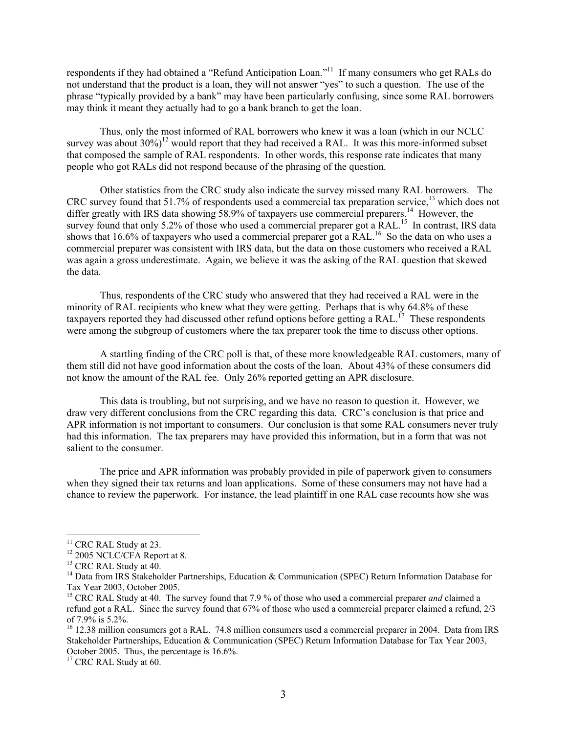respondents if they had obtained a "Refund Anticipation Loan."11 If many consumers who get RALs do not understand that the product is a loan, they will not answer "yes" to such a question. The use of the phrase "typically provided by a bank" may have been particularly confusing, since some RAL borrowers may think it meant they actually had to go a bank branch to get the loan.

 Thus, only the most informed of RAL borrowers who knew it was a loan (which in our NCLC survey was about  $30\%$ <sup>12</sup> would report that they had received a RAL. It was this more-informed subset that composed the sample of RAL respondents. In other words, this response rate indicates that many people who got RALs did not respond because of the phrasing of the question.

 Other statistics from the CRC study also indicate the survey missed many RAL borrowers. The CRC survey found that 51.7% of respondents used a commercial tax preparation service,<sup>13</sup> which does not differ greatly with IRS data showing 58.9% of taxpayers use commercial preparers.<sup>14</sup> However, the survey found that only 5.2% of those who used a commercial preparer got a RAL.<sup>15</sup> In contrast, IRS data shows that 16.6% of taxpayers who used a commercial preparer got a RAL.<sup>16</sup> So the data on who uses a commercial preparer was consistent with IRS data, but the data on those customers who received a RAL was again a gross underestimate. Again, we believe it was the asking of the RAL question that skewed the data.

 Thus, respondents of the CRC study who answered that they had received a RAL were in the minority of RAL recipients who knew what they were getting. Perhaps that is why 64.8% of these taxpayers reported they had discussed other refund options before getting a RAL.<sup>17</sup> These respondents were among the subgroup of customers where the tax preparer took the time to discuss other options.

 A startling finding of the CRC poll is that, of these more knowledgeable RAL customers, many of them still did not have good information about the costs of the loan. About 43% of these consumers did not know the amount of the RAL fee. Only 26% reported getting an APR disclosure.

 This data is troubling, but not surprising, and we have no reason to question it. However, we draw very different conclusions from the CRC regarding this data. CRC's conclusion is that price and APR information is not important to consumers. Our conclusion is that some RAL consumers never truly had this information. The tax preparers may have provided this information, but in a form that was not salient to the consumer.

 The price and APR information was probably provided in pile of paperwork given to consumers when they signed their tax returns and loan applications. Some of these consumers may not have had a chance to review the paperwork. For instance, the lead plaintiff in one RAL case recounts how she was

 $11$  CRC RAL Study at 23.

<sup>&</sup>lt;sup>12</sup> 2005 NCLC/CFA Report at 8.

<sup>&</sup>lt;sup>13</sup> CRC RAL Study at 40.

<sup>&</sup>lt;sup>14</sup> Data from IRS Stakeholder Partnerships, Education & Communication (SPEC) Return Information Database for Tax Year 2003, October 2005.

<sup>&</sup>lt;sup>15</sup> CRC RAL Study at 40. The survey found that 7.9 % of those who used a commercial preparer *and* claimed a refund got a RAL. Since the survey found that 67% of those who used a commercial preparer claimed a refund, 2/3 of 7.9% is 5.2%.

<sup>&</sup>lt;sup>16</sup> 12.38 million consumers got a RAL. 74.8 million consumers used a commercial preparer in 2004. Data from IRS Stakeholder Partnerships, Education & Communication (SPEC) Return Information Database for Tax Year 2003, October 2005. Thus, the percentage is 16.6%.

 $17$  CRC RAL Study at 60.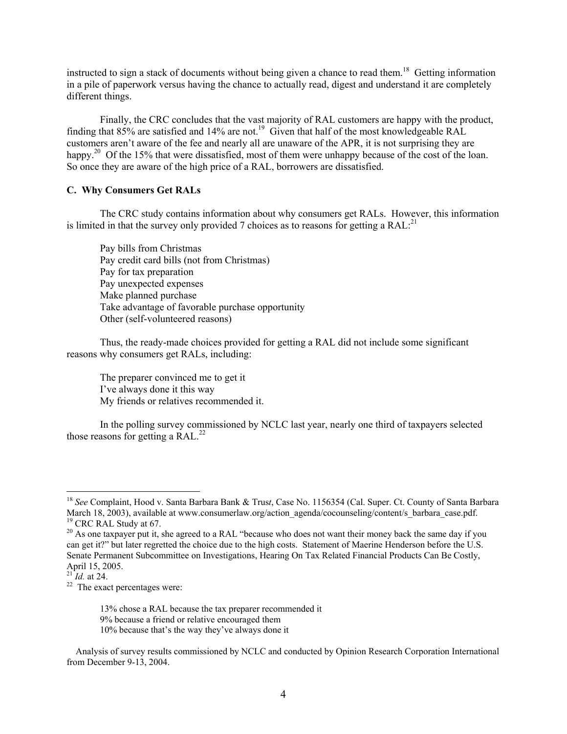instructed to sign a stack of documents without being given a chance to read them.<sup>18</sup> Getting information in a pile of paperwork versus having the chance to actually read, digest and understand it are completely different things.

 Finally, the CRC concludes that the vast majority of RAL customers are happy with the product, finding that 85% are satisfied and 14% are not.<sup>19</sup> Given that half of the most knowledgeable RAL customers aren't aware of the fee and nearly all are unaware of the APR, it is not surprising they are happy.<sup>20</sup> Of the 15% that were dissatisfied, most of them were unhappy because of the cost of the loan. So once they are aware of the high price of a RAL, borrowers are dissatisfied.

#### **C. Why Consumers Get RALs**

 The CRC study contains information about why consumers get RALs. However, this information is limited in that the survey only provided 7 choices as to reasons for getting a  $RAL<sup>21</sup>$ .

 Pay bills from Christmas Pay credit card bills (not from Christmas) Pay for tax preparation Pay unexpected expenses Make planned purchase Take advantage of favorable purchase opportunity Other (self-volunteered reasons)

 Thus, the ready-made choices provided for getting a RAL did not include some significant reasons why consumers get RALs, including:

The preparer convinced me to get it I've always done it this way My friends or relatives recommended it.

 In the polling survey commissioned by NCLC last year, nearly one third of taxpayers selected those reasons for getting a  $RAL^{22}$ 

<sup>18</sup> *See* Complaint, Hood v. Santa Barbara Bank & Trus*t*, Case No. 1156354 (Cal. Super. Ct. County of Santa Barbara March 18, 2003), available at www.consumerlaw.org/action\_agenda/cocounseling/content/s\_barbara\_case.pdf.  $19$  CRC RAL Study at 67.

<sup>&</sup>lt;sup>20</sup> As one taxpayer put it, she agreed to a RAL "because who does not want their money back the same day if you can get it?" but later regretted the choice due to the high costs. Statement of Maerine Henderson before the U.S. Senate Permanent Subcommittee on Investigations, Hearing On Tax Related Financial Products Can Be Costly, April 15, 2005.<br><sup>21</sup> *Id.* at 24.

<sup>&</sup>lt;sup>22</sup> The exact percentages were:

 <sup>13%</sup> chose a RAL because the tax preparer recommended it 9% because a friend or relative encouraged them

 <sup>10%</sup> because that's the way they've always done it

Analysis of survey results commissioned by NCLC and conducted by Opinion Research Corporation International from December 9-13, 2004.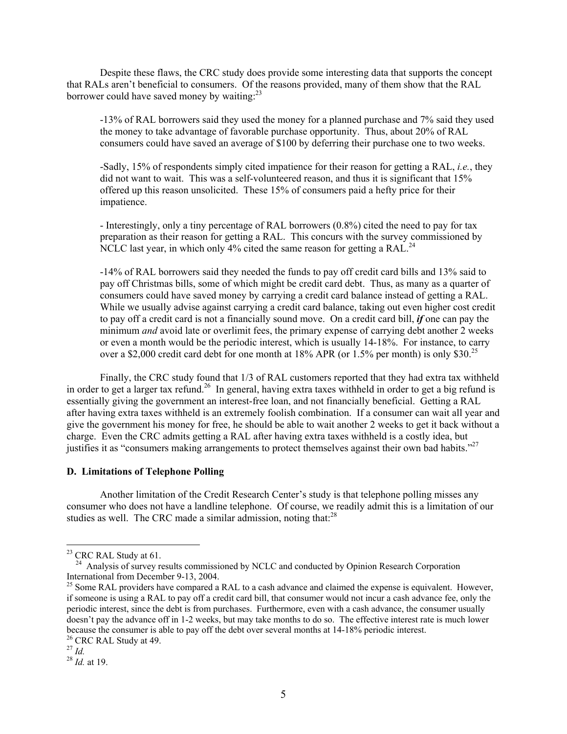Despite these flaws, the CRC study does provide some interesting data that supports the concept that RALs aren't beneficial to consumers. Of the reasons provided, many of them show that the RAL borrower could have saved money by waiting: $^{23}$ 

-13% of RAL borrowers said they used the money for a planned purchase and 7% said they used the money to take advantage of favorable purchase opportunity. Thus, about 20% of RAL consumers could have saved an average of \$100 by deferring their purchase one to two weeks.

-Sadly, 15% of respondents simply cited impatience for their reason for getting a RAL, *i.e.*, they did not want to wait. This was a self-volunteered reason, and thus it is significant that 15% offered up this reason unsolicited. These 15% of consumers paid a hefty price for their impatience.

- Interestingly, only a tiny percentage of RAL borrowers (0.8%) cited the need to pay for tax preparation as their reason for getting a RAL. This concurs with the survey commissioned by NCLC last year, in which only  $4\%$  cited the same reason for getting a RAL.<sup>24</sup>

-14% of RAL borrowers said they needed the funds to pay off credit card bills and 13% said to pay off Christmas bills, some of which might be credit card debt. Thus, as many as a quarter of consumers could have saved money by carrying a credit card balance instead of getting a RAL. While we usually advise against carrying a credit card balance, taking out even higher cost credit to pay off a credit card is not a financially sound move. On a credit card bill, *if* one can pay the minimum *and* avoid late or overlimit fees, the primary expense of carrying debt another 2 weeks or even a month would be the periodic interest, which is usually 14-18%. For instance, to carry over a \$2,000 credit card debt for one month at  $18\%$  APR (or  $1.5\%$  per month) is only \$30.<sup>25</sup>

 Finally, the CRC study found that 1/3 of RAL customers reported that they had extra tax withheld in order to get a larger tax refund.<sup>26</sup> In general, having extra taxes withheld in order to get a big refund is essentially giving the government an interest-free loan, and not financially beneficial. Getting a RAL after having extra taxes withheld is an extremely foolish combination. If a consumer can wait all year and give the government his money for free, he should be able to wait another 2 weeks to get it back without a charge. Even the CRC admits getting a RAL after having extra taxes withheld is a costly idea, but justifies it as "consumers making arrangements to protect themselves against their own bad habits."<sup>27</sup>

#### **D. Limitations of Telephone Polling**

 Another limitation of the Credit Research Center's study is that telephone polling misses any consumer who does not have a landline telephone. Of course, we readily admit this is a limitation of our studies as well. The CRC made a similar admission, noting that: $^{28}$ 

 $23$  CRC RAL Study at 61.

Analysis of survey results commissioned by NCLC and conducted by Opinion Research Corporation International from December 9-13, 2004.

<sup>&</sup>lt;sup>25</sup> Some RAL providers have compared a RAL to a cash advance and claimed the expense is equivalent. However, if someone is using a RAL to pay off a credit card bill, that consumer would not incur a cash advance fee, only the periodic interest, since the debt is from purchases. Furthermore, even with a cash advance, the consumer usually doesn't pay the advance off in 1-2 weeks, but may take months to do so. The effective interest rate is much lower because the consumer is able to pay off the debt over several months at 14-18% periodic interest. <sup>26</sup> CRC RAL Study at 49.<br><sup>27</sup> Id.

<sup>27</sup> *Id.* <sup>28</sup> *Id.* at 19.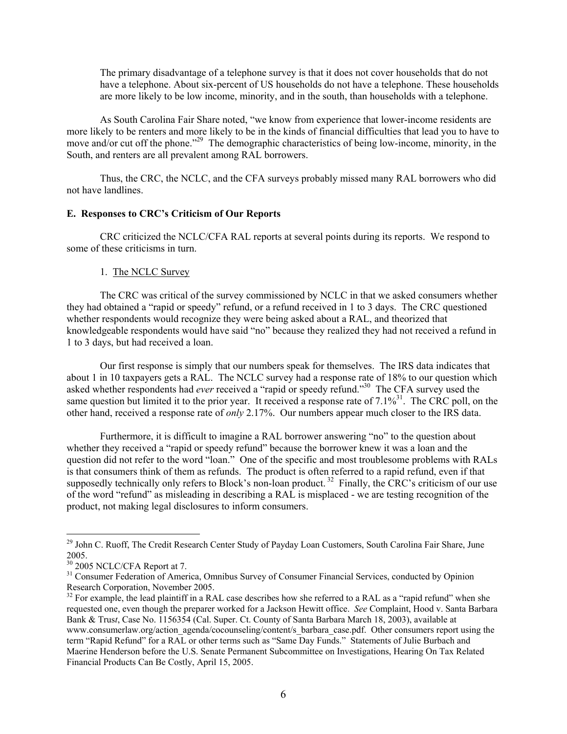The primary disadvantage of a telephone survey is that it does not cover households that do not have a telephone. About six-percent of US households do not have a telephone. These households are more likely to be low income, minority, and in the south, than households with a telephone.

 As South Carolina Fair Share noted, "we know from experience that lower-income residents are more likely to be renters and more likely to be in the kinds of financial difficulties that lead you to have to move and/or cut off the phone.<sup>"29</sup> The demographic characteristics of being low-income, minority, in the South, and renters are all prevalent among RAL borrowers.

 Thus, the CRC, the NCLC, and the CFA surveys probably missed many RAL borrowers who did not have landlines.

#### **E. Responses to CRC's Criticism of Our Reports**

 CRC criticized the NCLC/CFA RAL reports at several points during its reports. We respond to some of these criticisms in turn.

#### 1. The NCLC Survey

 The CRC was critical of the survey commissioned by NCLC in that we asked consumers whether they had obtained a "rapid or speedy" refund, or a refund received in 1 to 3 days. The CRC questioned whether respondents would recognize they were being asked about a RAL, and theorized that knowledgeable respondents would have said "no" because they realized they had not received a refund in 1 to 3 days, but had received a loan.

 Our first response is simply that our numbers speak for themselves. The IRS data indicates that about 1 in 10 taxpayers gets a RAL. The NCLC survey had a response rate of 18% to our question which asked whether respondents had *ever* received a "rapid or speedy refund."30 The CFA survey used the same question but limited it to the prior year. It received a response rate of  $7.1\%^{31}$ . The CRC poll, on the other hand, received a response rate of *only* 2.17%. Our numbers appear much closer to the IRS data.

 Furthermore, it is difficult to imagine a RAL borrower answering "no" to the question about whether they received a "rapid or speedy refund" because the borrower knew it was a loan and the question did not refer to the word "loan." One of the specific and most troublesome problems with RALs is that consumers think of them as refunds. The product is often referred to a rapid refund, even if that supposedly technically only refers to Block's non-loan product.<sup>32</sup> Finally, the CRC's criticism of our use of the word "refund" as misleading in describing a RAL is misplaced - we are testing recognition of the product, not making legal disclosures to inform consumers.

<sup>&</sup>lt;sup>29</sup> John C. Ruoff, The Credit Research Center Study of Payday Loan Customers, South Carolina Fair Share, June 2005.

 $\frac{30}{30}$  2005 NCLC/CFA Report at 7.

<sup>&</sup>lt;sup>31</sup> Consumer Federation of America, Omnibus Survey of Consumer Financial Services, conducted by Opinion Research Corporation, November 2005.

 $32$  For example, the lead plaintiff in a RAL case describes how she referred to a RAL as a "rapid refund" when she requested one, even though the preparer worked for a Jackson Hewitt office. *See* Complaint, Hood v. Santa Barbara Bank & Trus*t*, Case No. 1156354 (Cal. Super. Ct. County of Santa Barbara March 18, 2003), available at www.consumerlaw.org/action\_agenda/cocounseling/content/s\_barbara\_case.pdf. Other consumers report using the term "Rapid Refund" for a RAL or other terms such as "Same Day Funds." Statements of Julie Burbach and Maerine Henderson before the U.S. Senate Permanent Subcommittee on Investigations, Hearing On Tax Related Financial Products Can Be Costly, April 15, 2005.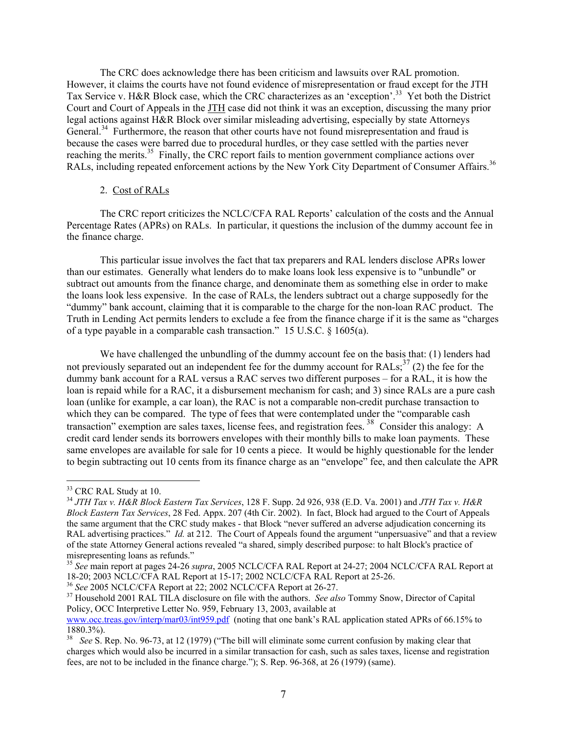The CRC does acknowledge there has been criticism and lawsuits over RAL promotion. However, it claims the courts have not found evidence of misrepresentation or fraud except for the JTH Tax Service v. H&R Block case, which the CRC characterizes as an 'exception'.<sup>33</sup> Yet both the District Court and Court of Appeals in the JTH case did not think it was an exception, discussing the many prior legal actions against H&R Block over similar misleading advertising, especially by state Attorneys General. $34$  Furthermore, the reason that other courts have not found misrepresentation and fraud is because the cases were barred due to procedural hurdles, or they case settled with the parties never reaching the merits.<sup>35</sup> Finally, the CRC report fails to mention government compliance actions over RALs, including repeated enforcement actions by the New York City Department of Consumer Affairs.<sup>36</sup>

#### 2. Cost of RALs

 The CRC report criticizes the NCLC/CFA RAL Reports' calculation of the costs and the Annual Percentage Rates (APRs) on RALs. In particular, it questions the inclusion of the dummy account fee in the finance charge.

 This particular issue involves the fact that tax preparers and RAL lenders disclose APRs lower than our estimates. Generally what lenders do to make loans look less expensive is to "unbundle" or subtract out amounts from the finance charge, and denominate them as something else in order to make the loans look less expensive. In the case of RALs, the lenders subtract out a charge supposedly for the "dummy" bank account, claiming that it is comparable to the charge for the non-loan RAC product. The Truth in Lending Act permits lenders to exclude a fee from the finance charge if it is the same as "charges of a type payable in a comparable cash transaction." 15 U.S.C. § 1605(a).

We have challenged the unbundling of the dummy account fee on the basis that: (1) lenders had not previously separated out an independent fee for the dummy account for RALs;<sup>37</sup> (2) the fee for the dummy bank account for a RAL versus a RAC serves two different purposes – for a RAL, it is how the loan is repaid while for a RAC, it a disbursement mechanism for cash; and 3) since RALs are a pure cash loan (unlike for example, a car loan), the RAC is not a comparable non-credit purchase transaction to which they can be compared. The type of fees that were contemplated under the "comparable cash" transaction" exemption are sales taxes, license fees, and registration fees.<sup>38</sup> Consider this analogy: A credit card lender sends its borrowers envelopes with their monthly bills to make loan payments. These same envelopes are available for sale for 10 cents a piece. It would be highly questionable for the lender to begin subtracting out 10 cents from its finance charge as an "envelope" fee, and then calculate the APR

<sup>&</sup>lt;sup>33</sup> CRC RAL Study at 10.

<sup>34</sup> *JTH Tax v. H&R Block Eastern Tax Services*, 128 F. Supp. 2d 926, 938 (E.D. Va. 2001) and *JTH Tax v. H&R Block Eastern Tax Services*, 28 Fed. Appx. 207 (4th Cir. 2002). In fact, Block had argued to the Court of Appeals the same argument that the CRC study makes - that Block "never suffered an adverse adjudication concerning its RAL advertising practices." *Id.* at 212. The Court of Appeals found the argument "unpersuasive" and that a review of the state Attorney General actions revealed "a shared, simply described purpose: to halt Block's practice of misrepresenting loans as refunds."

<sup>35</sup> *See* main report at pages 24-26 *supra*, 2005 NCLC/CFA RAL Report at 24-27; 2004 NCLC/CFA RAL Report at 18-20; 2003 NCLC/CFA RAL Report at 15-17; 2002 NCLC/CFA RAL Report at 25-26.<br><sup>36</sup> See 2005 NCLC/CFA Report at 22; 2002 NCLC/CFA Report at 26-27.

<sup>&</sup>lt;sup>37</sup> Household 2001 RAL TILA disclosure on file with the authors. *See also* Tommy Snow, Director of Capital Policy, OCC Interpretive Letter No. 959, February 13, 2003, available at www.occ.treas.gov/interp/mar03/int959.pdf (noting that one bank's RAL application stated APRs of 66.15% to 1880.3%).

<sup>38</sup> *See* S. Rep. No. 96-73, at 12 (1979) ("The bill will eliminate some current confusion by making clear that charges which would also be incurred in a similar transaction for cash, such as sales taxes, license and registration fees, are not to be included in the finance charge."); S. Rep. 96-368, at 26 (1979) (same).